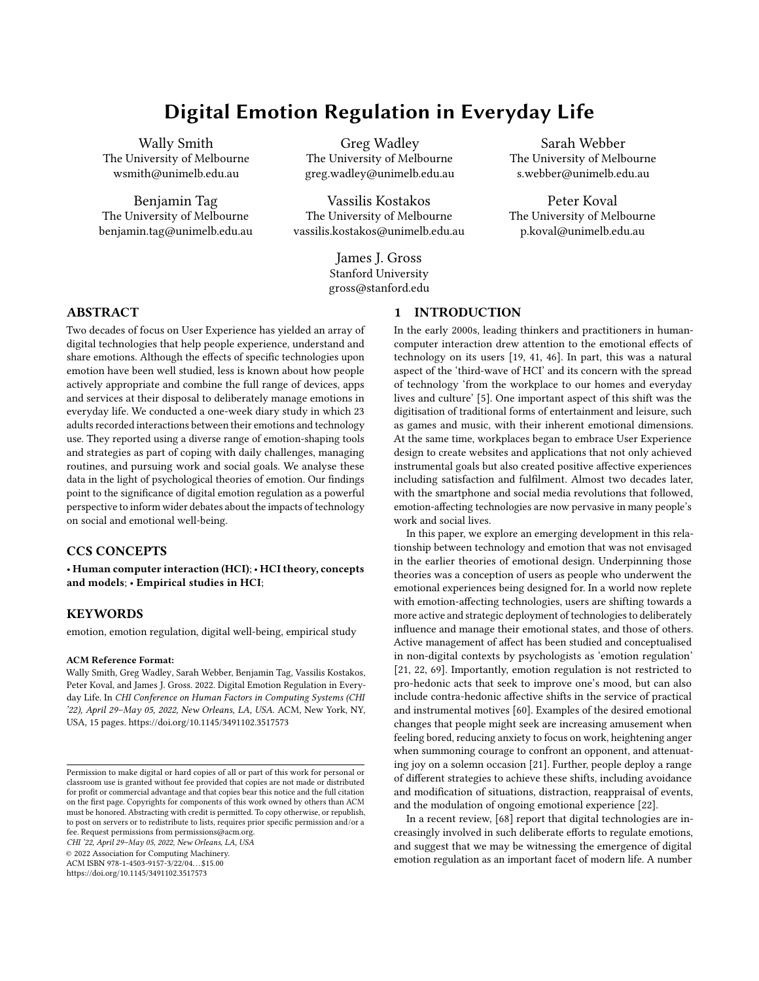# Digital Emotion Regulation in Everyday Life

Wally Smith The University of Melbourne wsmith@unimelb.edu.au

Benjamin Tag The University of Melbourne benjamin.tag@unimelb.edu.au

Greg Wadley The University of Melbourne greg.wadley@unimelb.edu.au

Vassilis Kostakos The University of Melbourne vassilis.kostakos@unimelb.edu.au

> James J. Gross Stanford University gross@stanford.edu

Sarah Webber The University of Melbourne s.webber@unimelb.edu.au

Peter Koval The University of Melbourne p.koval@unimelb.edu.au

## ABSTRACT

Two decades of focus on User Experience has yielded an array of digital technologies that help people experience, understand and share emotions. Although the effects of specific technologies upon emotion have been well studied, less is known about how people actively appropriate and combine the full range of devices, apps and services at their disposal to deliberately manage emotions in everyday life. We conducted a one-week diary study in which 23 adults recorded interactions between their emotions and technology use. They reported using a diverse range of emotion-shaping tools and strategies as part of coping with daily challenges, managing routines, and pursuing work and social goals. We analyse these data in the light of psychological theories of emotion. Our findings point to the significance of digital emotion regulation as a powerful perspective to inform wider debates about the impacts of technology on social and emotional well-being.

# CCS CONCEPTS

• Human computer interaction (HCI); • HCI theory, concepts and models; • Empirical studies in HCI;

### KEYWORDS

emotion, emotion regulation, digital well-being, empirical study

#### ACM Reference Format:

Wally Smith, Greg Wadley, Sarah Webber, Benjamin Tag, Vassilis Kostakos, Peter Koval, and James J. Gross. 2022. Digital Emotion Regulation in Everyday Life. In CHI Conference on Human Factors in Computing Systems (CHI '22), April 29–May 05, 2022, New Orleans, LA, USA. ACM, New York, NY, USA, [15](#page-14-0) pages.<https://doi.org/10.1145/3491102.3517573>

CHI '22, April 29–May 05, 2022, New Orleans, LA, USA

© 2022 Association for Computing Machinery.

ACM ISBN 978-1-4503-9157-3/22/04. . . \$15.00

<https://doi.org/10.1145/3491102.3517573>

### 1 INTRODUCTION

In the early 2000s, leading thinkers and practitioners in humancomputer interaction drew attention to the emotional effects of technology on its users [\[19,](#page-12-0) [41,](#page-13-0) [46\]](#page-13-1). In part, this was a natural aspect of the 'third-wave of HCI' and its concern with the spread of technology 'from the workplace to our homes and everyday lives and culture' [\[5\]](#page-12-1). One important aspect of this shift was the digitisation of traditional forms of entertainment and leisure, such as games and music, with their inherent emotional dimensions. At the same time, workplaces began to embrace User Experience design to create websites and applications that not only achieved instrumental goals but also created positive affective experiences including satisfaction and fulfilment. Almost two decades later, with the smartphone and social media revolutions that followed, emotion-affecting technologies are now pervasive in many people's work and social lives.

In this paper, we explore an emerging development in this relationship between technology and emotion that was not envisaged in the earlier theories of emotional design. Underpinning those theories was a conception of users as people who underwent the emotional experiences being designed for. In a world now replete with emotion-affecting technologies, users are shifting towards a more active and strategic deployment of technologies to deliberately influence and manage their emotional states, and those of others. Active management of affect has been studied and conceptualised in non-digital contexts by psychologists as 'emotion regulation' [\[21,](#page-12-2) [22,](#page-12-3) [69\]](#page-13-2). Importantly, emotion regulation is not restricted to pro-hedonic acts that seek to improve one's mood, but can also include contra-hedonic affective shifts in the service of practical and instrumental motives [\[60\]](#page-13-3). Examples of the desired emotional changes that people might seek are increasing amusement when feeling bored, reducing anxiety to focus on work, heightening anger when summoning courage to confront an opponent, and attenuating joy on a solemn occasion [\[21\]](#page-12-2). Further, people deploy a range of different strategies to achieve these shifts, including avoidance and modification of situations, distraction, reappraisal of events, and the modulation of ongoing emotional experience [\[22\]](#page-12-3).

In a recent review, [\[68\]](#page-13-4) report that digital technologies are increasingly involved in such deliberate efforts to regulate emotions, and suggest that we may be witnessing the emergence of digital emotion regulation as an important facet of modern life. A number

Permission to make digital or hard copies of all or part of this work for personal or classroom use is granted without fee provided that copies are not made or distributed for profit or commercial advantage and that copies bear this notice and the full citation on the first page. Copyrights for components of this work owned by others than ACM must be honored. Abstracting with credit is permitted. To copy otherwise, or republish, to post on servers or to redistribute to lists, requires prior specific permission and/or a fee. Request permissions from permissions@acm.org.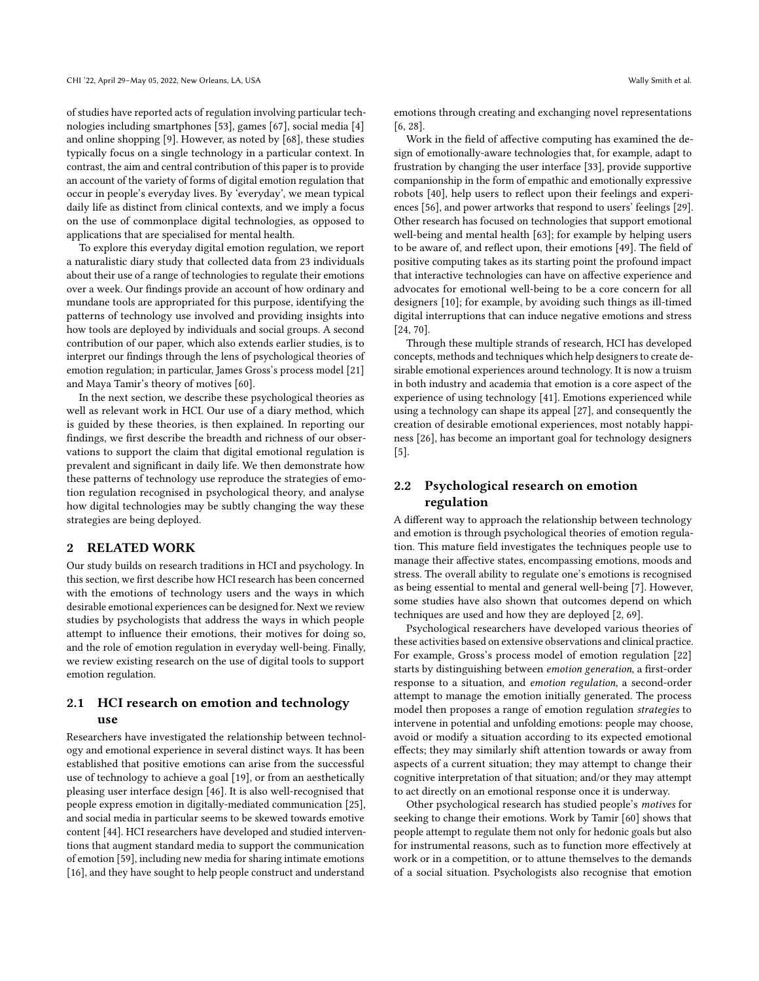of studies have reported acts of regulation involving particular technologies including smartphones [\[53\]](#page-13-5), games [\[67\]](#page-13-6), social media [\[4\]](#page-12-4) and online shopping [\[9\]](#page-12-5). However, as noted by [\[68\]](#page-13-4), these studies typically focus on a single technology in a particular context. In contrast, the aim and central contribution of this paper is to provide an account of the variety of forms of digital emotion regulation that occur in people's everyday lives. By 'everyday', we mean typical daily life as distinct from clinical contexts, and we imply a focus on the use of commonplace digital technologies, as opposed to applications that are specialised for mental health.

To explore this everyday digital emotion regulation, we report a naturalistic diary study that collected data from 23 individuals about their use of a range of technologies to regulate their emotions over a week. Our findings provide an account of how ordinary and mundane tools are appropriated for this purpose, identifying the patterns of technology use involved and providing insights into how tools are deployed by individuals and social groups. A second contribution of our paper, which also extends earlier studies, is to interpret our findings through the lens of psychological theories of emotion regulation; in particular, James Gross's process model [\[21\]](#page-12-2) and Maya Tamir's theory of motives [\[60\]](#page-13-3).

In the next section, we describe these psychological theories as well as relevant work in HCI. Our use of a diary method, which is guided by these theories, is then explained. In reporting our findings, we first describe the breadth and richness of our observations to support the claim that digital emotional regulation is prevalent and significant in daily life. We then demonstrate how these patterns of technology use reproduce the strategies of emotion regulation recognised in psychological theory, and analyse how digital technologies may be subtly changing the way these strategies are being deployed.

### 2 RELATED WORK

Our study builds on research traditions in HCI and psychology. In this section, we first describe how HCI research has been concerned with the emotions of technology users and the ways in which desirable emotional experiences can be designed for. Next we review studies by psychologists that address the ways in which people attempt to influence their emotions, their motives for doing so, and the role of emotion regulation in everyday well-being. Finally, we review existing research on the use of digital tools to support emotion regulation.

# 2.1 HCI research on emotion and technology use

Researchers have investigated the relationship between technology and emotional experience in several distinct ways. It has been established that positive emotions can arise from the successful use of technology to achieve a goal [\[19\]](#page-12-0), or from an aesthetically pleasing user interface design [\[46\]](#page-13-1). It is also well-recognised that people express emotion in digitally-mediated communication [\[25\]](#page-12-6), and social media in particular seems to be skewed towards emotive content [\[44\]](#page-13-7). HCI researchers have developed and studied interventions that augment standard media to support the communication of emotion [\[59\]](#page-13-8), including new media for sharing intimate emotions [\[16\]](#page-12-7), and they have sought to help people construct and understand

emotions through creating and exchanging novel representations [\[6,](#page-12-8) [28\]](#page-12-9).

Work in the field of affective computing has examined the design of emotionally-aware technologies that, for example, adapt to frustration by changing the user interface [\[33\]](#page-12-10), provide supportive companionship in the form of empathic and emotionally expressive robots [\[40\]](#page-13-9), help users to reflect upon their feelings and experiences [\[56\]](#page-13-10), and power artworks that respond to users' feelings [\[29\]](#page-12-11). Other research has focused on technologies that support emotional well-being and mental health [\[63\]](#page-13-11); for example by helping users to be aware of, and reflect upon, their emotions [\[49\]](#page-13-12). The field of positive computing takes as its starting point the profound impact that interactive technologies can have on affective experience and advocates for emotional well-being to be a core concern for all designers [\[10\]](#page-12-12); for example, by avoiding such things as ill-timed digital interruptions that can induce negative emotions and stress [\[24,](#page-12-13) [70\]](#page-13-13).

Through these multiple strands of research, HCI has developed concepts, methods and techniques which help designers to create desirable emotional experiences around technology. It is now a truism in both industry and academia that emotion is a core aspect of the experience of using technology [\[41\]](#page-13-0). Emotions experienced while using a technology can shape its appeal [\[27\]](#page-12-14), and consequently the creation of desirable emotional experiences, most notably happiness [\[26\]](#page-12-15), has become an important goal for technology designers [\[5\]](#page-12-1).

# 2.2 Psychological research on emotion regulation

A different way to approach the relationship between technology and emotion is through psychological theories of emotion regulation. This mature field investigates the techniques people use to manage their affective states, encompassing emotions, moods and stress. The overall ability to regulate one's emotions is recognised as being essential to mental and general well-being [\[7\]](#page-12-16). However, some studies have also shown that outcomes depend on which techniques are used and how they are deployed [\[2,](#page-12-17) [69\]](#page-13-2).

Psychological researchers have developed various theories of these activities based on extensive observations and clinical practice. For example, Gross's process model of emotion regulation [\[22\]](#page-12-3) starts by distinguishing between emotion generation, a first-order response to a situation, and emotion regulation, a second-order attempt to manage the emotion initially generated. The process model then proposes a range of emotion regulation strategies to intervene in potential and unfolding emotions: people may choose, avoid or modify a situation according to its expected emotional effects; they may similarly shift attention towards or away from aspects of a current situation; they may attempt to change their cognitive interpretation of that situation; and/or they may attempt to act directly on an emotional response once it is underway.

Other psychological research has studied people's motives for seeking to change their emotions. Work by Tamir [\[60\]](#page-13-3) shows that people attempt to regulate them not only for hedonic goals but also for instrumental reasons, such as to function more effectively at work or in a competition, or to attune themselves to the demands of a social situation. Psychologists also recognise that emotion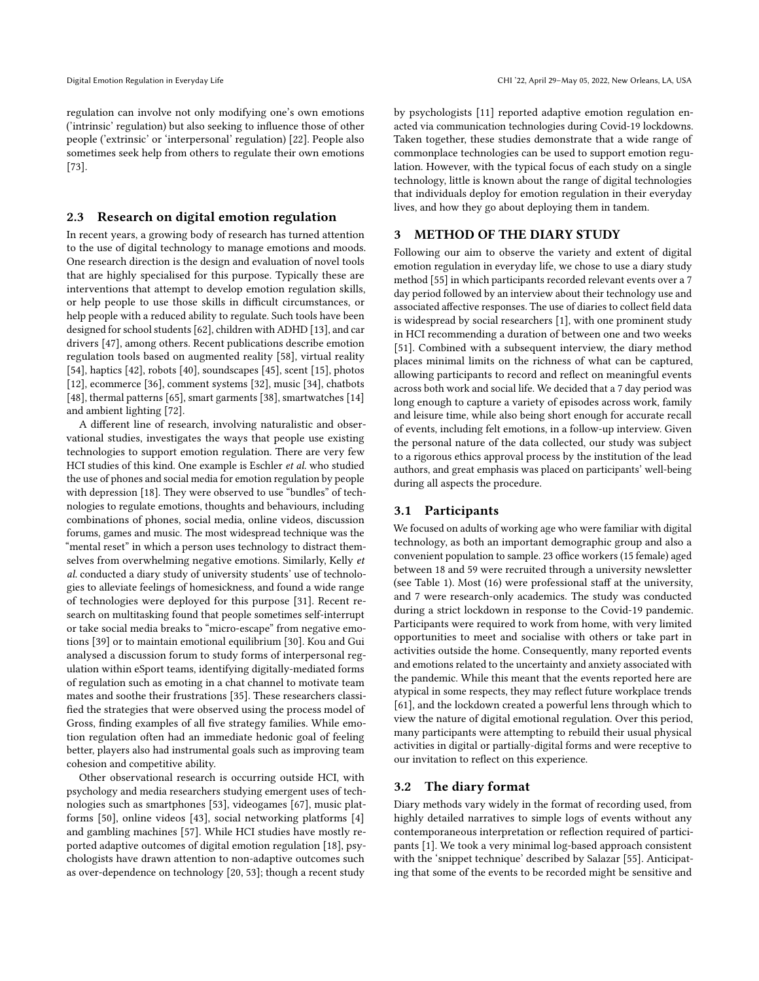regulation can involve not only modifying one's own emotions ('intrinsic' regulation) but also seeking to influence those of other people ('extrinsic' or 'interpersonal' regulation) [\[22\]](#page-12-3). People also sometimes seek help from others to regulate their own emotions [\[73\]](#page-14-1).

### 2.3 Research on digital emotion regulation

In recent years, a growing body of research has turned attention to the use of digital technology to manage emotions and moods. One research direction is the design and evaluation of novel tools that are highly specialised for this purpose. Typically these are interventions that attempt to develop emotion regulation skills, or help people to use those skills in difficult circumstances, or help people with a reduced ability to regulate. Such tools have been designed for school students [\[62\]](#page-13-14), children with ADHD [\[13\]](#page-12-18), and car drivers [\[47\]](#page-13-15), among others. Recent publications describe emotion regulation tools based on augmented reality [\[58\]](#page-13-16), virtual reality [\[54\]](#page-13-17), haptics [\[42\]](#page-13-18), robots [\[40\]](#page-13-9), soundscapes [\[45\]](#page-13-19), scent [\[15\]](#page-12-19), photos [\[12\]](#page-12-20), ecommerce [\[36\]](#page-13-20), comment systems [\[32\]](#page-12-21), music [\[34\]](#page-12-22), chatbots [\[48\]](#page-13-21), thermal patterns [\[65\]](#page-13-22), smart garments [\[38\]](#page-13-23), smartwatches [\[14\]](#page-12-23) and ambient lighting [\[72\]](#page-14-2).

A different line of research, involving naturalistic and observational studies, investigates the ways that people use existing technologies to support emotion regulation. There are very few HCI studies of this kind. One example is Eschler et al. who studied the use of phones and social media for emotion regulation by people with depression [\[18\]](#page-12-24). They were observed to use "bundles" of technologies to regulate emotions, thoughts and behaviours, including combinations of phones, social media, online videos, discussion forums, games and music. The most widespread technique was the "mental reset" in which a person uses technology to distract themselves from overwhelming negative emotions. Similarly, Kelly et al. conducted a diary study of university students' use of technologies to alleviate feelings of homesickness, and found a wide range of technologies were deployed for this purpose [\[31\]](#page-12-25). Recent research on multitasking found that people sometimes self-interrupt or take social media breaks to "micro-escape" from negative emotions [\[39\]](#page-13-24) or to maintain emotional equilibrium [\[30\]](#page-12-26). Kou and Gui analysed a discussion forum to study forms of interpersonal regulation within eSport teams, identifying digitally-mediated forms of regulation such as emoting in a chat channel to motivate team mates and soothe their frustrations [\[35\]](#page-13-25). These researchers classified the strategies that were observed using the process model of Gross, finding examples of all five strategy families. While emotion regulation often had an immediate hedonic goal of feeling better, players also had instrumental goals such as improving team cohesion and competitive ability.

Other observational research is occurring outside HCI, with psychology and media researchers studying emergent uses of technologies such as smartphones [\[53\]](#page-13-5), videogames [\[67\]](#page-13-6), music platforms [\[50\]](#page-13-26), online videos [\[43\]](#page-13-27), social networking platforms [\[4\]](#page-12-4) and gambling machines [\[57\]](#page-13-28). While HCI studies have mostly reported adaptive outcomes of digital emotion regulation [\[18\]](#page-12-24), psychologists have drawn attention to non-adaptive outcomes such as over-dependence on technology [\[20,](#page-12-27) [53\]](#page-13-5); though a recent study

by psychologists [\[11\]](#page-12-28) reported adaptive emotion regulation enacted via communication technologies during Covid-19 lockdowns. Taken together, these studies demonstrate that a wide range of commonplace technologies can be used to support emotion regulation. However, with the typical focus of each study on a single technology, little is known about the range of digital technologies that individuals deploy for emotion regulation in their everyday lives, and how they go about deploying them in tandem.

### 3 METHOD OF THE DIARY STUDY

Following our aim to observe the variety and extent of digital emotion regulation in everyday life, we chose to use a diary study method [\[55\]](#page-13-29) in which participants recorded relevant events over a 7 day period followed by an interview about their technology use and associated affective responses. The use of diaries to collect field data is widespread by social researchers [\[1\]](#page-12-29), with one prominent study in HCI recommending a duration of between one and two weeks [\[51\]](#page-13-30). Combined with a subsequent interview, the diary method places minimal limits on the richness of what can be captured, allowing participants to record and reflect on meaningful events across both work and social life. We decided that a 7 day period was long enough to capture a variety of episodes across work, family and leisure time, while also being short enough for accurate recall of events, including felt emotions, in a follow-up interview. Given the personal nature of the data collected, our study was subject to a rigorous ethics approval process by the institution of the lead authors, and great emphasis was placed on participants' well-being during all aspects the procedure.

### 3.1 Participants

We focused on adults of working age who were familiar with digital technology, as both an important demographic group and also a convenient population to sample. 23 office workers (15 female) aged between 18 and 59 were recruited through a university newsletter (see Table [1\)](#page-3-0). Most (16) were professional staff at the university, and 7 were research-only academics. The study was conducted during a strict lockdown in response to the Covid-19 pandemic. Participants were required to work from home, with very limited opportunities to meet and socialise with others or take part in activities outside the home. Consequently, many reported events and emotions related to the uncertainty and anxiety associated with the pandemic. While this meant that the events reported here are atypical in some respects, they may reflect future workplace trends [\[61\]](#page-13-31), and the lockdown created a powerful lens through which to view the nature of digital emotional regulation. Over this period, many participants were attempting to rebuild their usual physical activities in digital or partially-digital forms and were receptive to our invitation to reflect on this experience.

#### 3.2 The diary format

Diary methods vary widely in the format of recording used, from highly detailed narratives to simple logs of events without any contemporaneous interpretation or reflection required of participants [\[1\]](#page-12-29). We took a very minimal log-based approach consistent with the 'snippet technique' described by Salazar [\[55\]](#page-13-29). Anticipating that some of the events to be recorded might be sensitive and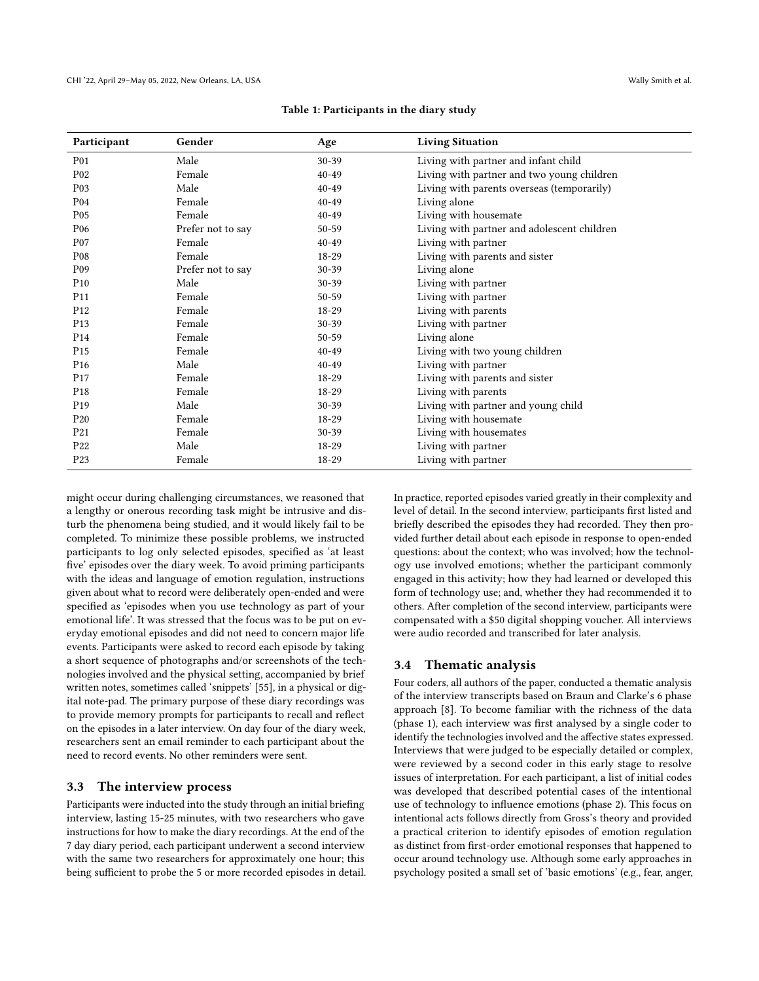<span id="page-3-0"></span>

| Participant     | Gender            | Age       | <b>Living Situation</b>                     |
|-----------------|-------------------|-----------|---------------------------------------------|
| P01             | Male              | 30-39     | Living with partner and infant child        |
| P02             | Female            | $40 - 49$ | Living with partner and two young children  |
| P03             | Male              | $40 - 49$ | Living with parents overseas (temporarily)  |
| P <sub>04</sub> | Female            | $40 - 49$ | Living alone                                |
| P <sub>05</sub> | Female            | $40 - 49$ | Living with housemate                       |
| P <sub>06</sub> | Prefer not to say | 50-59     | Living with partner and adolescent children |
| P07             | Female            | $40 - 49$ | Living with partner                         |
| P <sub>08</sub> | Female            | 18-29     | Living with parents and sister              |
| P09             | Prefer not to say | 30-39     | Living alone                                |
| P <sub>10</sub> | Male              | 30-39     | Living with partner                         |
| P <sub>11</sub> | Female            | 50-59     | Living with partner                         |
| P <sub>12</sub> | Female            | 18-29     | Living with parents                         |
| P <sub>13</sub> | Female            | 30-39     | Living with partner                         |
| P <sub>14</sub> | Female            | 50-59     | Living alone                                |
| P <sub>15</sub> | Female            | $40 - 49$ | Living with two young children              |
| P <sub>16</sub> | Male              | $40 - 49$ | Living with partner                         |
| P <sub>17</sub> | Female            | 18-29     | Living with parents and sister              |
| P <sub>18</sub> | Female            | 18-29     | Living with parents                         |
| P <sub>19</sub> | Male              | 30-39     | Living with partner and young child         |
| P <sub>20</sub> | Female            | 18-29     | Living with housemate                       |
| P21             | Female            | 30-39     | Living with housemates                      |
| P22             | Male              | 18-29     | Living with partner                         |
| P <sub>23</sub> | Female            | 18-29     | Living with partner                         |

#### Table 1: Participants in the diary study

might occur during challenging circumstances, we reasoned that a lengthy or onerous recording task might be intrusive and disturb the phenomena being studied, and it would likely fail to be completed. To minimize these possible problems, we instructed participants to log only selected episodes, specified as 'at least five' episodes over the diary week. To avoid priming participants with the ideas and language of emotion regulation, instructions given about what to record were deliberately open-ended and were specified as 'episodes when you use technology as part of your emotional life'. It was stressed that the focus was to be put on everyday emotional episodes and did not need to concern major life events. Participants were asked to record each episode by taking a short sequence of photographs and/or screenshots of the technologies involved and the physical setting, accompanied by brief written notes, sometimes called 'snippets' [\[55\]](#page-13-29), in a physical or digital note-pad. The primary purpose of these diary recordings was to provide memory prompts for participants to recall and reflect on the episodes in a later interview. On day four of the diary week, researchers sent an email reminder to each participant about the need to record events. No other reminders were sent.

#### 3.3 The interview process

Participants were inducted into the study through an initial briefing interview, lasting 15-25 minutes, with two researchers who gave instructions for how to make the diary recordings. At the end of the 7 day diary period, each participant underwent a second interview with the same two researchers for approximately one hour; this being sufficient to probe the 5 or more recorded episodes in detail. In practice, reported episodes varied greatly in their complexity and level of detail. In the second interview, participants first listed and briefly described the episodes they had recorded. They then provided further detail about each episode in response to open-ended questions: about the context; who was involved; how the technology use involved emotions; whether the participant commonly engaged in this activity; how they had learned or developed this form of technology use; and, whether they had recommended it to others. After completion of the second interview, participants were compensated with a \$50 digital shopping voucher. All interviews were audio recorded and transcribed for later analysis.

### 3.4 Thematic analysis

Four coders, all authors of the paper, conducted a thematic analysis of the interview transcripts based on Braun and Clarke's 6 phase approach [\[8\]](#page-12-30). To become familiar with the richness of the data (phase 1), each interview was first analysed by a single coder to identify the technologies involved and the affective states expressed. Interviews that were judged to be especially detailed or complex, were reviewed by a second coder in this early stage to resolve issues of interpretation. For each participant, a list of initial codes was developed that described potential cases of the intentional use of technology to influence emotions (phase 2). This focus on intentional acts follows directly from Gross's theory and provided a practical criterion to identify episodes of emotion regulation as distinct from first-order emotional responses that happened to occur around technology use. Although some early approaches in psychology posited a small set of 'basic emotions' (e.g., fear, anger,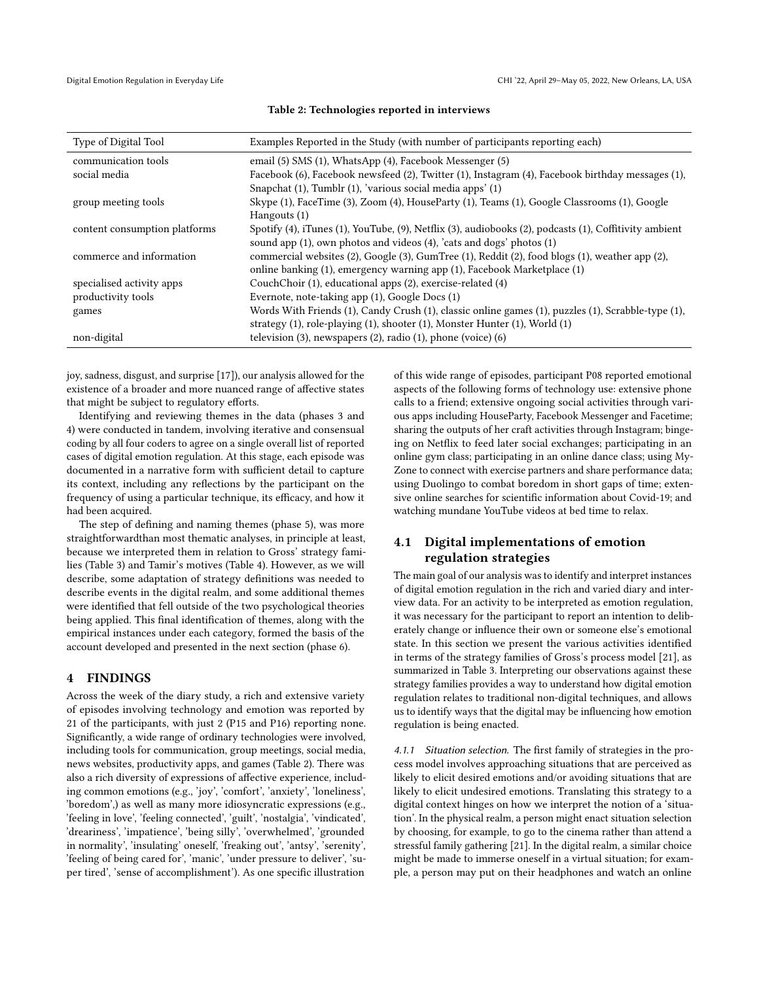<span id="page-4-0"></span>

| Type of Digital Tool          | Examples Reported in the Study (with number of participants reporting each)                                             |
|-------------------------------|-------------------------------------------------------------------------------------------------------------------------|
| communication tools           | email (5) SMS (1), WhatsApp (4), Facebook Messenger (5)                                                                 |
| social media                  | Facebook (6), Facebook newsfeed (2), Twitter (1), Instagram (4), Facebook birthday messages (1),                        |
|                               | Snapchat (1), Tumblr (1), 'various social media apps' (1)                                                               |
| group meeting tools           | Skype (1), FaceTime (3), Zoom (4), HouseParty (1), Teams (1), Google Classrooms (1), Google                             |
|                               | Hangouts (1)                                                                                                            |
| content consumption platforms | Spotify $(4)$ , iTunes $(1)$ , YouTube, $(9)$ , Netflix $(3)$ , audiobooks $(2)$ , podcasts $(1)$ , Coffitivity ambient |
|                               | sound app (1), own photos and videos (4), 'cats and dogs' photos (1)                                                    |
| commerce and information      | commercial websites (2), Google (3), GumTree (1), Reddit (2), food blogs (1), weather app (2),                          |
|                               | online banking (1), emergency warning app (1), Facebook Marketplace (1)                                                 |
| specialised activity apps     | CouchChoir (1), educational apps (2), exercise-related (4)                                                              |
| productivity tools            | Evernote, note-taking app (1), Google Docs (1)                                                                          |
| games                         | Words With Friends (1), Candy Crush (1), classic online games (1), puzzles (1), Scrabble-type (1),                      |
|                               | strategy (1), role-playing (1), shooter (1), Monster Hunter (1), World (1)                                              |
| non-digital                   | television $(3)$ , newspapers $(2)$ , radio $(1)$ , phone (voice) $(6)$                                                 |

#### Table 2: Technologies reported in interviews

joy, sadness, disgust, and surprise [\[17\]](#page-12-31)), our analysis allowed for the existence of a broader and more nuanced range of affective states that might be subject to regulatory efforts.

Identifying and reviewing themes in the data (phases 3 and 4) were conducted in tandem, involving iterative and consensual coding by all four coders to agree on a single overall list of reported cases of digital emotion regulation. At this stage, each episode was documented in a narrative form with sufficient detail to capture its context, including any reflections by the participant on the frequency of using a particular technique, its efficacy, and how it had been acquired.

The step of defining and naming themes (phase 5), was more straightforwardthan most thematic analyses, in principle at least, because we interpreted them in relation to Gross' strategy families (Table [3\)](#page-5-0) and Tamir's motives (Table [4\)](#page-8-0). However, as we will describe, some adaptation of strategy definitions was needed to describe events in the digital realm, and some additional themes were identified that fell outside of the two psychological theories being applied. This final identification of themes, along with the empirical instances under each category, formed the basis of the account developed and presented in the next section (phase 6).

#### 4 FINDINGS

Across the week of the diary study, a rich and extensive variety of episodes involving technology and emotion was reported by 21 of the participants, with just 2 (P15 and P16) reporting none. Significantly, a wide range of ordinary technologies were involved, including tools for communication, group meetings, social media, news websites, productivity apps, and games (Table [2\)](#page-4-0). There was also a rich diversity of expressions of affective experience, including common emotions (e.g., 'joy', 'comfort', 'anxiety', 'loneliness', 'boredom',) as well as many more idiosyncratic expressions (e.g., 'feeling in love', 'feeling connected', 'guilt', 'nostalgia', 'vindicated', 'dreariness', 'impatience', 'being silly', 'overwhelmed', 'grounded in normality', 'insulating' oneself, 'freaking out', 'antsy', 'serenity', 'feeling of being cared for', 'manic', 'under pressure to deliver', 'super tired', 'sense of accomplishment'). As one specific illustration

of this wide range of episodes, participant P08 reported emotional aspects of the following forms of technology use: extensive phone calls to a friend; extensive ongoing social activities through various apps including HouseParty, Facebook Messenger and Facetime; sharing the outputs of her craft activities through Instagram; bingeing on Netflix to feed later social exchanges; participating in an online gym class; participating in an online dance class; using My-Zone to connect with exercise partners and share performance data; using Duolingo to combat boredom in short gaps of time; extensive online searches for scientific information about Covid-19; and watching mundane YouTube videos at bed time to relax.

# 4.1 Digital implementations of emotion regulation strategies

The main goal of our analysis was to identify and interpret instances of digital emotion regulation in the rich and varied diary and interview data. For an activity to be interpreted as emotion regulation, it was necessary for the participant to report an intention to deliberately change or influence their own or someone else's emotional state. In this section we present the various activities identified in terms of the strategy families of Gross's process model [\[21\]](#page-12-2), as summarized in Table [3.](#page-5-0) Interpreting our observations against these strategy families provides a way to understand how digital emotion regulation relates to traditional non-digital techniques, and allows us to identify ways that the digital may be influencing how emotion regulation is being enacted.

4.1.1 Situation selection. The first family of strategies in the process model involves approaching situations that are perceived as likely to elicit desired emotions and/or avoiding situations that are likely to elicit undesired emotions. Translating this strategy to a digital context hinges on how we interpret the notion of a 'situation'. In the physical realm, a person might enact situation selection by choosing, for example, to go to the cinema rather than attend a stressful family gathering [\[21\]](#page-12-2). In the digital realm, a similar choice might be made to immerse oneself in a virtual situation; for example, a person may put on their headphones and watch an online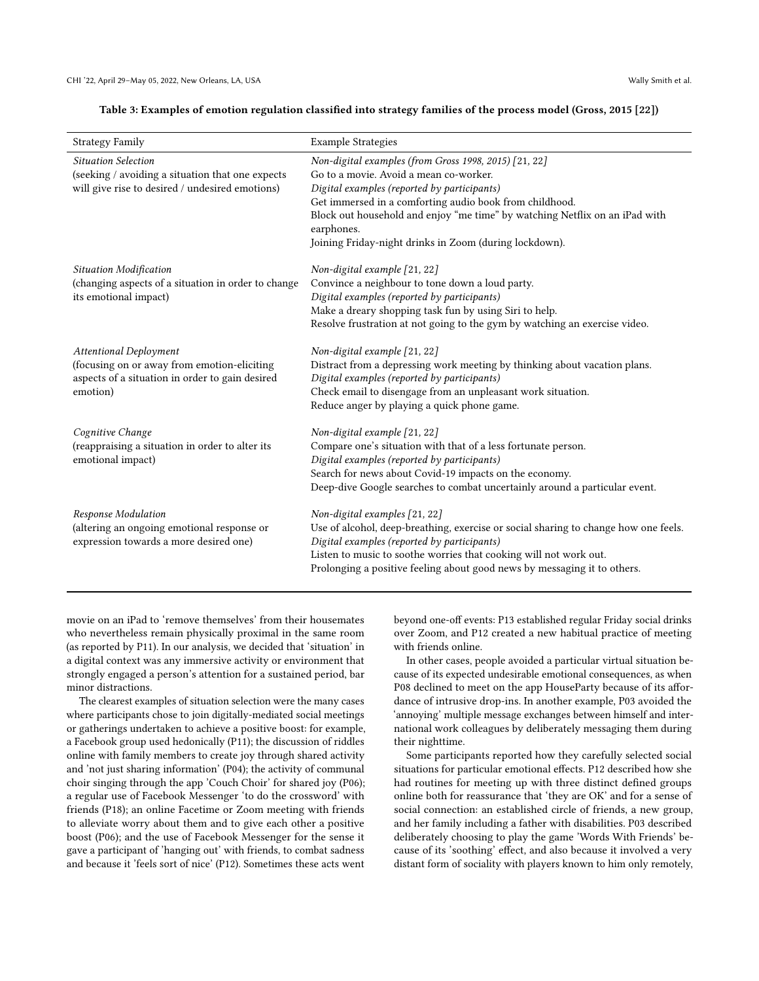#### Table 3: Examples of emotion regulation classified into strategy families of the process model (Gross, 2015 [\[22\]](#page-12-3))

<span id="page-5-0"></span>

| <b>Strategy Family</b>                                                                                                                      | <b>Example Strategies</b>                                                                                                                                                                                                                                                                                                                                        |
|---------------------------------------------------------------------------------------------------------------------------------------------|------------------------------------------------------------------------------------------------------------------------------------------------------------------------------------------------------------------------------------------------------------------------------------------------------------------------------------------------------------------|
| <b>Situation Selection</b><br>(seeking / avoiding a situation that one expects<br>will give rise to desired / undesired emotions)           | Non-digital examples (from Gross 1998, 2015) [21, 22]<br>Go to a movie. Avoid a mean co-worker.<br>Digital examples (reported by participants)<br>Get immersed in a comforting audio book from childhood.<br>Block out household and enjoy "me time" by watching Netflix on an iPad with<br>earphones.<br>Joining Friday-night drinks in Zoom (during lockdown). |
| Situation Modification<br>(changing aspects of a situation in order to change<br>its emotional impact)                                      | Non-digital example [21, 22]<br>Convince a neighbour to tone down a loud party.<br>Digital examples (reported by participants)<br>Make a dreary shopping task fun by using Siri to help.<br>Resolve frustration at not going to the gym by watching an exercise video.                                                                                           |
| <b>Attentional Deployment</b><br>(focusing on or away from emotion-eliciting<br>aspects of a situation in order to gain desired<br>emotion) | Non-digital example [21, 22]<br>Distract from a depressing work meeting by thinking about vacation plans.<br>Digital examples (reported by participants)<br>Check email to disengage from an unpleasant work situation.<br>Reduce anger by playing a quick phone game.                                                                                           |
| Cognitive Change<br>(reappraising a situation in order to alter its<br>emotional impact)                                                    | Non-digital example [21, 22]<br>Compare one's situation with that of a less fortunate person.<br>Digital examples (reported by participants)<br>Search for news about Covid-19 impacts on the economy.<br>Deep-dive Google searches to combat uncertainly around a particular event.                                                                             |
| Response Modulation<br>(altering an ongoing emotional response or<br>expression towards a more desired one)                                 | Non-digital examples [21, 22]<br>Use of alcohol, deep-breathing, exercise or social sharing to change how one feels.<br>Digital examples (reported by participants)<br>Listen to music to soothe worries that cooking will not work out.<br>Prolonging a positive feeling about good news by messaging it to others.                                             |

movie on an iPad to 'remove themselves' from their housemates who nevertheless remain physically proximal in the same room (as reported by P11). In our analysis, we decided that 'situation' in a digital context was any immersive activity or environment that strongly engaged a person's attention for a sustained period, bar minor distractions.

The clearest examples of situation selection were the many cases where participants chose to join digitally-mediated social meetings or gatherings undertaken to achieve a positive boost: for example, a Facebook group used hedonically (P11); the discussion of riddles online with family members to create joy through shared activity and 'not just sharing information' (P04); the activity of communal choir singing through the app 'Couch Choir' for shared joy (P06); a regular use of Facebook Messenger 'to do the crossword' with friends (P18); an online Facetime or Zoom meeting with friends to alleviate worry about them and to give each other a positive boost (P06); and the use of Facebook Messenger for the sense it gave a participant of 'hanging out' with friends, to combat sadness and because it 'feels sort of nice' (P12). Sometimes these acts went

beyond one-off events: P13 established regular Friday social drinks over Zoom, and P12 created a new habitual practice of meeting with friends online.

In other cases, people avoided a particular virtual situation because of its expected undesirable emotional consequences, as when P08 declined to meet on the app HouseParty because of its affordance of intrusive drop-ins. In another example, P03 avoided the 'annoying' multiple message exchanges between himself and international work colleagues by deliberately messaging them during their nighttime.

Some participants reported how they carefully selected social situations for particular emotional effects. P12 described how she had routines for meeting up with three distinct defined groups online both for reassurance that 'they are OK' and for a sense of social connection: an established circle of friends, a new group, and her family including a father with disabilities. P03 described deliberately choosing to play the game 'Words With Friends' because of its 'soothing' effect, and also because it involved a very distant form of sociality with players known to him only remotely,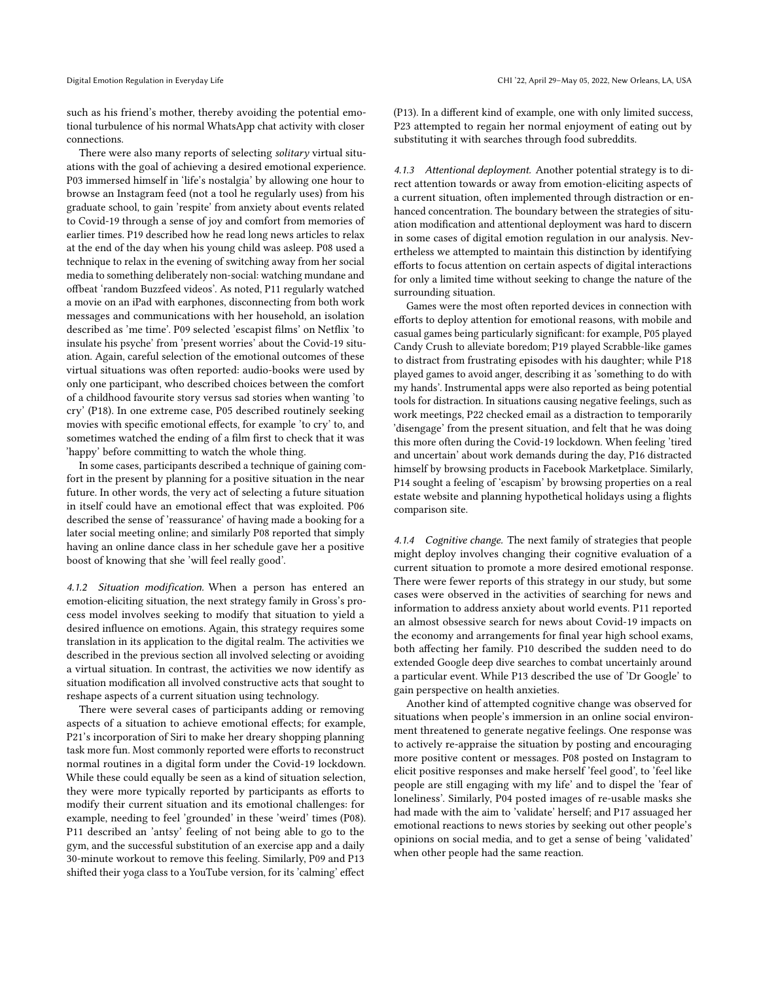such as his friend's mother, thereby avoiding the potential emotional turbulence of his normal WhatsApp chat activity with closer connections.

There were also many reports of selecting solitary virtual situations with the goal of achieving a desired emotional experience. P03 immersed himself in 'life's nostalgia' by allowing one hour to browse an Instagram feed (not a tool he regularly uses) from his graduate school, to gain 'respite' from anxiety about events related to Covid-19 through a sense of joy and comfort from memories of earlier times. P19 described how he read long news articles to relax at the end of the day when his young child was asleep. P08 used a technique to relax in the evening of switching away from her social media to something deliberately non-social: watching mundane and offbeat 'random Buzzfeed videos'. As noted, P11 regularly watched a movie on an iPad with earphones, disconnecting from both work messages and communications with her household, an isolation described as 'me time'. P09 selected 'escapist films' on Netflix 'to insulate his psyche' from 'present worries' about the Covid-19 situation. Again, careful selection of the emotional outcomes of these virtual situations was often reported: audio-books were used by only one participant, who described choices between the comfort of a childhood favourite story versus sad stories when wanting 'to cry' (P18). In one extreme case, P05 described routinely seeking movies with specific emotional effects, for example 'to cry' to, and sometimes watched the ending of a film first to check that it was 'happy' before committing to watch the whole thing.

In some cases, participants described a technique of gaining comfort in the present by planning for a positive situation in the near future. In other words, the very act of selecting a future situation in itself could have an emotional effect that was exploited. P06 described the sense of 'reassurance' of having made a booking for a later social meeting online; and similarly P08 reported that simply having an online dance class in her schedule gave her a positive boost of knowing that she 'will feel really good'.

4.1.2 Situation modification. When a person has entered an emotion-eliciting situation, the next strategy family in Gross's process model involves seeking to modify that situation to yield a desired influence on emotions. Again, this strategy requires some translation in its application to the digital realm. The activities we described in the previous section all involved selecting or avoiding a virtual situation. In contrast, the activities we now identify as situation modification all involved constructive acts that sought to reshape aspects of a current situation using technology.

There were several cases of participants adding or removing aspects of a situation to achieve emotional effects; for example, P21's incorporation of Siri to make her dreary shopping planning task more fun. Most commonly reported were efforts to reconstruct normal routines in a digital form under the Covid-19 lockdown. While these could equally be seen as a kind of situation selection, they were more typically reported by participants as efforts to modify their current situation and its emotional challenges: for example, needing to feel 'grounded' in these 'weird' times (P08). P11 described an 'antsy' feeling of not being able to go to the gym, and the successful substitution of an exercise app and a daily 30-minute workout to remove this feeling. Similarly, P09 and P13 shifted their yoga class to a YouTube version, for its 'calming' effect

(P13). In a different kind of example, one with only limited success, P23 attempted to regain her normal enjoyment of eating out by substituting it with searches through food subreddits.

4.1.3 Attentional deployment. Another potential strategy is to direct attention towards or away from emotion-eliciting aspects of a current situation, often implemented through distraction or enhanced concentration. The boundary between the strategies of situation modification and attentional deployment was hard to discern in some cases of digital emotion regulation in our analysis. Nevertheless we attempted to maintain this distinction by identifying efforts to focus attention on certain aspects of digital interactions for only a limited time without seeking to change the nature of the surrounding situation.

Games were the most often reported devices in connection with efforts to deploy attention for emotional reasons, with mobile and casual games being particularly significant: for example, P05 played Candy Crush to alleviate boredom; P19 played Scrabble-like games to distract from frustrating episodes with his daughter; while P18 played games to avoid anger, describing it as 'something to do with my hands'. Instrumental apps were also reported as being potential tools for distraction. In situations causing negative feelings, such as work meetings, P22 checked email as a distraction to temporarily 'disengage' from the present situation, and felt that he was doing this more often during the Covid-19 lockdown. When feeling 'tired and uncertain' about work demands during the day, P16 distracted himself by browsing products in Facebook Marketplace. Similarly, P14 sought a feeling of 'escapism' by browsing properties on a real estate website and planning hypothetical holidays using a flights comparison site.

4.1.4 Cognitive change. The next family of strategies that people might deploy involves changing their cognitive evaluation of a current situation to promote a more desired emotional response. There were fewer reports of this strategy in our study, but some cases were observed in the activities of searching for news and information to address anxiety about world events. P11 reported an almost obsessive search for news about Covid-19 impacts on the economy and arrangements for final year high school exams, both affecting her family. P10 described the sudden need to do extended Google deep dive searches to combat uncertainly around a particular event. While P13 described the use of 'Dr Google' to gain perspective on health anxieties.

Another kind of attempted cognitive change was observed for situations when people's immersion in an online social environment threatened to generate negative feelings. One response was to actively re-appraise the situation by posting and encouraging more positive content or messages. P08 posted on Instagram to elicit positive responses and make herself 'feel good', to 'feel like people are still engaging with my life' and to dispel the 'fear of loneliness'. Similarly, P04 posted images of re-usable masks she had made with the aim to 'validate' herself; and P17 assuaged her emotional reactions to news stories by seeking out other people's opinions on social media, and to get a sense of being 'validated' when other people had the same reaction.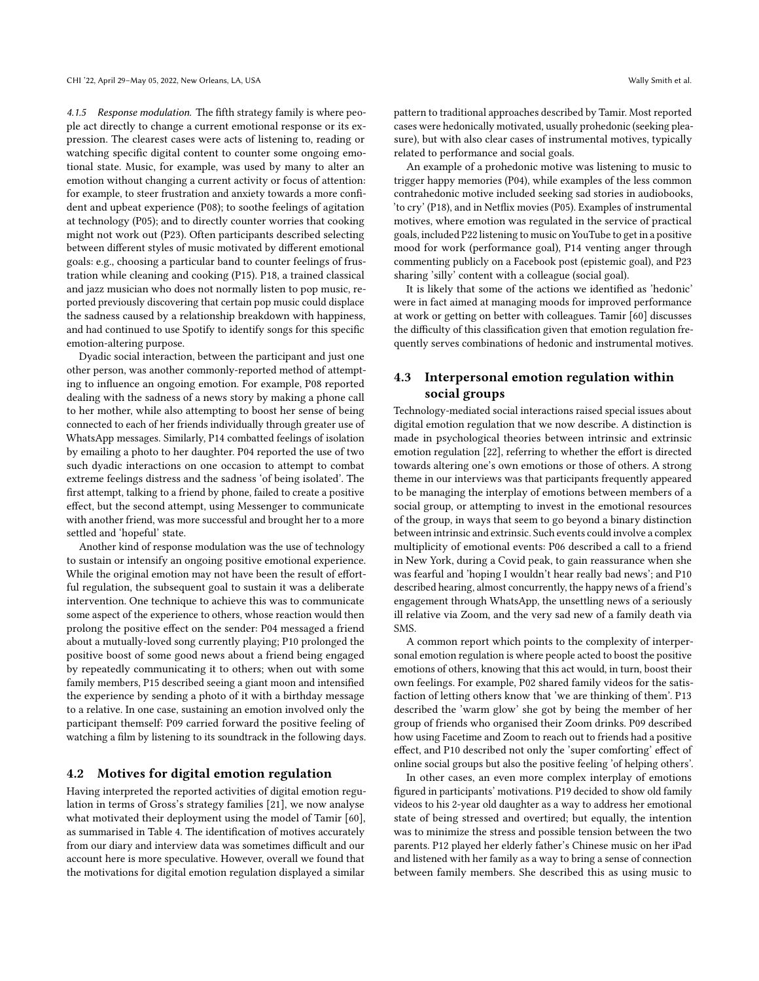4.1.5 Response modulation. The fifth strategy family is where people act directly to change a current emotional response or its expression. The clearest cases were acts of listening to, reading or watching specific digital content to counter some ongoing emotional state. Music, for example, was used by many to alter an emotion without changing a current activity or focus of attention: for example, to steer frustration and anxiety towards a more confident and upbeat experience (P08); to soothe feelings of agitation at technology (P05); and to directly counter worries that cooking might not work out (P23). Often participants described selecting between different styles of music motivated by different emotional goals: e.g., choosing a particular band to counter feelings of frustration while cleaning and cooking (P15). P18, a trained classical and jazz musician who does not normally listen to pop music, reported previously discovering that certain pop music could displace the sadness caused by a relationship breakdown with happiness, and had continued to use Spotify to identify songs for this specific emotion-altering purpose.

Dyadic social interaction, between the participant and just one other person, was another commonly-reported method of attempting to influence an ongoing emotion. For example, P08 reported dealing with the sadness of a news story by making a phone call to her mother, while also attempting to boost her sense of being connected to each of her friends individually through greater use of WhatsApp messages. Similarly, P14 combatted feelings of isolation by emailing a photo to her daughter. P04 reported the use of two such dyadic interactions on one occasion to attempt to combat extreme feelings distress and the sadness 'of being isolated'. The first attempt, talking to a friend by phone, failed to create a positive effect, but the second attempt, using Messenger to communicate with another friend, was more successful and brought her to a more settled and 'hopeful' state.

Another kind of response modulation was the use of technology to sustain or intensify an ongoing positive emotional experience. While the original emotion may not have been the result of effortful regulation, the subsequent goal to sustain it was a deliberate intervention. One technique to achieve this was to communicate some aspect of the experience to others, whose reaction would then prolong the positive effect on the sender: P04 messaged a friend about a mutually-loved song currently playing; P10 prolonged the positive boost of some good news about a friend being engaged by repeatedly communicating it to others; when out with some family members, P15 described seeing a giant moon and intensified the experience by sending a photo of it with a birthday message to a relative. In one case, sustaining an emotion involved only the participant themself: P09 carried forward the positive feeling of watching a film by listening to its soundtrack in the following days.

### 4.2 Motives for digital emotion regulation

Having interpreted the reported activities of digital emotion regulation in terms of Gross's strategy families [\[21\]](#page-12-2), we now analyse what motivated their deployment using the model of Tamir [\[60\]](#page-13-3), as summarised in Table [4.](#page-8-0) The identification of motives accurately from our diary and interview data was sometimes difficult and our account here is more speculative. However, overall we found that the motivations for digital emotion regulation displayed a similar

pattern to traditional approaches described by Tamir. Most reported cases were hedonically motivated, usually prohedonic (seeking pleasure), but with also clear cases of instrumental motives, typically related to performance and social goals.

An example of a prohedonic motive was listening to music to trigger happy memories (P04), while examples of the less common contrahedonic motive included seeking sad stories in audiobooks, 'to cry' (P18), and in Netflix movies (P05). Examples of instrumental motives, where emotion was regulated in the service of practical goals, included P22 listening to music on YouTube to get in a positive mood for work (performance goal), P14 venting anger through commenting publicly on a Facebook post (epistemic goal), and P23 sharing 'silly' content with a colleague (social goal).

It is likely that some of the actions we identified as 'hedonic' were in fact aimed at managing moods for improved performance at work or getting on better with colleagues. Tamir [\[60\]](#page-13-3) discusses the difficulty of this classification given that emotion regulation frequently serves combinations of hedonic and instrumental motives.

# 4.3 Interpersonal emotion regulation within social groups

Technology-mediated social interactions raised special issues about digital emotion regulation that we now describe. A distinction is made in psychological theories between intrinsic and extrinsic emotion regulation [22], referring to whether the effort is directed towards altering one's own emotions or those of others. A strong theme in our interviews was that participants frequently appeared to be managing the interplay of emotions between members of a social group, or attempting to invest in the emotional resources of the group, in ways that seem to go beyond a binary distinction between intrinsic and extrinsic. Such events could involve a complex multiplicity of emotional events: P06 described a call to a friend in New York, during a Covid peak, to gain reassurance when she was fearful and 'hoping I wouldn't hear really bad news'; and P10 described hearing, almost concurrently, the happy news of a friend's engagement through WhatsApp, the unsettling news of a seriously ill relative via Zoom, and the very sad new of a family death via **SMS** 

A common report which points to the complexity of interpersonal emotion regulation is where people acted to boost the positive emotions of others, knowing that this act would, in turn, boost their own feelings. For example, P02 shared family videos for the satisfaction of letting others know that 'we are thinking of them'. P13 described the 'warm glow' she got by being the member of her group of friends who organised their Zoom drinks. P09 described how using Facetime and Zoom to reach out to friends had a positive effect, and P10 described not only the 'super comforting' effect of online social groups but also the positive feeling 'of helping others'.

In other cases, an even more complex interplay of emotions figured in participants' motivations. P19 decided to show old family videos to his 2-year old daughter as a way to address her emotional state of being stressed and overtired; but equally, the intention was to minimize the stress and possible tension between the two parents. P12 played her elderly father's Chinese music on her iPad and listened with her family as a way to bring a sense of connection between family members. She described this as using music to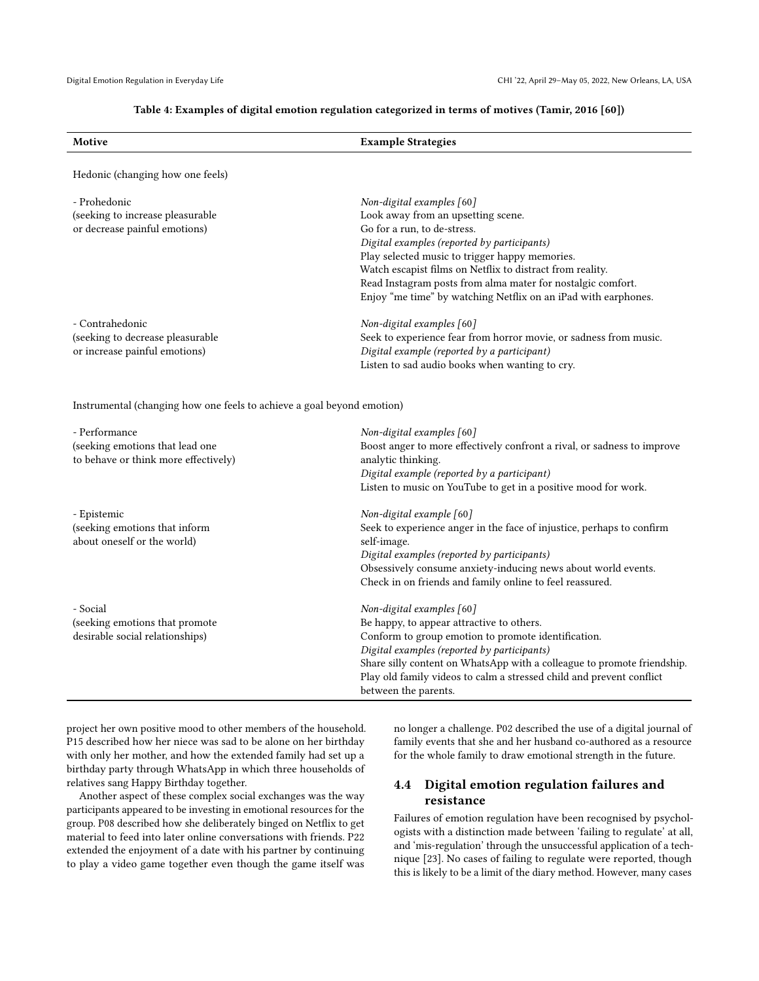#### Table 4: Examples of digital emotion regulation categorized in terms of motives (Tamir, 2016 [\[60\]](#page-13-3))

<span id="page-8-0"></span>

| Motive                                                                 | <b>Example Strategies</b>                                                                    |
|------------------------------------------------------------------------|----------------------------------------------------------------------------------------------|
|                                                                        |                                                                                              |
| Hedonic (changing how one feels)                                       |                                                                                              |
| - Prohedonic                                                           | Non-digital examples [60]                                                                    |
| (seeking to increase pleasurable                                       | Look away from an upsetting scene.                                                           |
| or decrease painful emotions)                                          | Go for a run, to de-stress.                                                                  |
|                                                                        | Digital examples (reported by participants)                                                  |
|                                                                        | Play selected music to trigger happy memories.                                               |
|                                                                        | Watch escapist films on Netflix to distract from reality.                                    |
|                                                                        | Read Instagram posts from alma mater for nostalgic comfort.                                  |
|                                                                        | Enjoy "me time" by watching Netflix on an iPad with earphones.                               |
| - Contrahedonic                                                        | Non-digital examples [60]                                                                    |
| (seeking to decrease pleasurable                                       | Seek to experience fear from horror movie, or sadness from music.                            |
| or increase painful emotions)                                          | Digital example (reported by a participant)                                                  |
|                                                                        | Listen to sad audio books when wanting to cry.                                               |
| Instrumental (changing how one feels to achieve a goal beyond emotion) |                                                                                              |
| - Performance                                                          | Non-digital examples [60]                                                                    |
| (seeking emotions that lead one                                        | Boost anger to more effectively confront a rival, or sadness to improve                      |
| to behave or think more effectively)                                   | analytic thinking.                                                                           |
|                                                                        | Digital example (reported by a participant)                                                  |
|                                                                        | Listen to music on YouTube to get in a positive mood for work.                               |
| - Epistemic                                                            | Non-digital example [60]                                                                     |
| (seeking emotions that inform                                          | Seek to experience anger in the face of injustice, perhaps to confirm                        |
| about oneself or the world)                                            | self-image.                                                                                  |
|                                                                        | Digital examples (reported by participants)                                                  |
|                                                                        | Obsessively consume anxiety-inducing news about world events.                                |
|                                                                        | Check in on friends and family online to feel reassured.                                     |
| - Social                                                               | Non-digital examples [60]                                                                    |
| (seeking emotions that promote                                         | Be happy, to appear attractive to others.                                                    |
| desirable social relationships)                                        | Conform to group emotion to promote identification.                                          |
|                                                                        | Digital examples (reported by participants)                                                  |
|                                                                        | Share silly content on WhatsApp with a colleague to promote friendship.                      |
|                                                                        | Play old family videos to calm a stressed child and prevent conflict<br>between the parents. |
|                                                                        |                                                                                              |

project her own positive mood to other members of the household. P15 described how her niece was sad to be alone on her birthday with only her mother, and how the extended family had set up a birthday party through WhatsApp in which three households of relatives sang Happy Birthday together.

Another aspect of these complex social exchanges was the way participants appeared to be investing in emotional resources for the group. P08 described how she deliberately binged on Netflix to get material to feed into later online conversations with friends. P22 extended the enjoyment of a date with his partner by continuing to play a video game together even though the game itself was

no longer a challenge. P02 described the use of a digital journal of family events that she and her husband co-authored as a resource for the whole family to draw emotional strength in the future.

# 4.4 Digital emotion regulation failures and resistance

Failures of emotion regulation have been recognised by psychologists with a distinction made between 'failing to regulate' at all, and 'mis-regulation' through the unsuccessful application of a technique [\[23\]](#page-12-32). No cases of failing to regulate were reported, though this is likely to be a limit of the diary method. However, many cases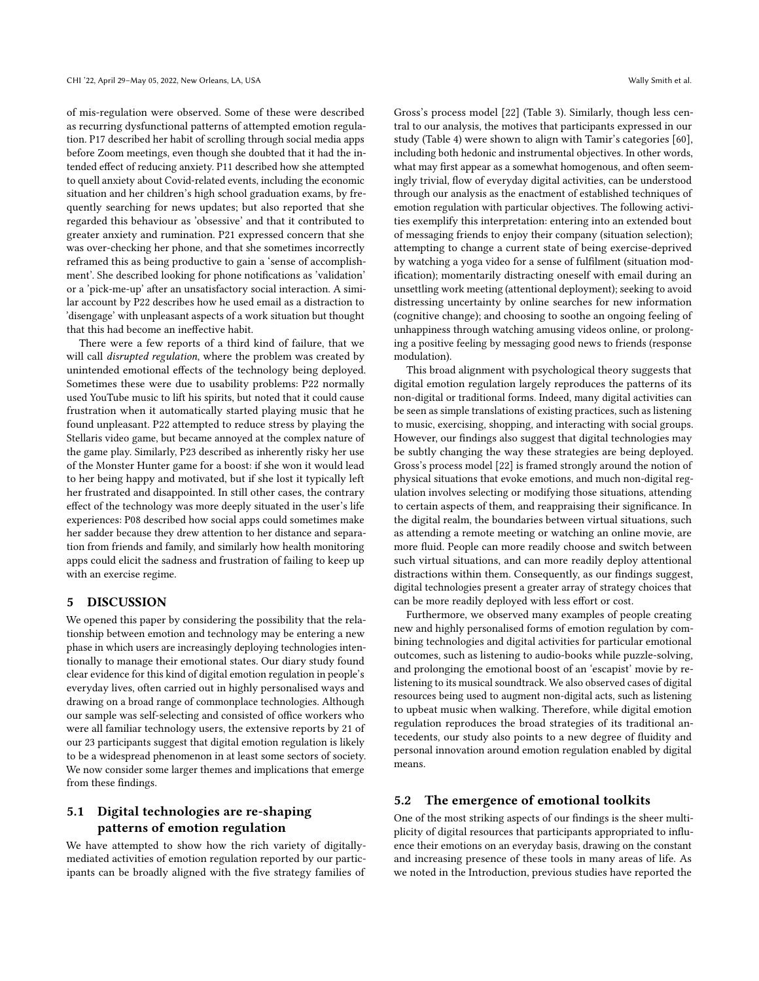of mis-regulation were observed. Some of these were described as recurring dysfunctional patterns of attempted emotion regulation. P17 described her habit of scrolling through social media apps before Zoom meetings, even though she doubted that it had the intended effect of reducing anxiety. P11 described how she attempted to quell anxiety about Covid-related events, including the economic situation and her children's high school graduation exams, by frequently searching for news updates; but also reported that she regarded this behaviour as 'obsessive' and that it contributed to greater anxiety and rumination. P21 expressed concern that she was over-checking her phone, and that she sometimes incorrectly reframed this as being productive to gain a 'sense of accomplishment'. She described looking for phone notifications as 'validation' or a 'pick-me-up' after an unsatisfactory social interaction. A similar account by P22 describes how he used email as a distraction to 'disengage' with unpleasant aspects of a work situation but thought that this had become an ineffective habit.

There were a few reports of a third kind of failure, that we will call *disrupted regulation*, where the problem was created by unintended emotional effects of the technology being deployed. Sometimes these were due to usability problems: P22 normally used YouTube music to lift his spirits, but noted that it could cause frustration when it automatically started playing music that he found unpleasant. P22 attempted to reduce stress by playing the Stellaris video game, but became annoyed at the complex nature of the game play. Similarly, P23 described as inherently risky her use of the Monster Hunter game for a boost: if she won it would lead to her being happy and motivated, but if she lost it typically left her frustrated and disappointed. In still other cases, the contrary effect of the technology was more deeply situated in the user's life experiences: P08 described how social apps could sometimes make her sadder because they drew attention to her distance and separation from friends and family, and similarly how health monitoring apps could elicit the sadness and frustration of failing to keep up with an exercise regime.

### 5 DISCUSSION

We opened this paper by considering the possibility that the relationship between emotion and technology may be entering a new phase in which users are increasingly deploying technologies intentionally to manage their emotional states. Our diary study found clear evidence for this kind of digital emotion regulation in people's everyday lives, often carried out in highly personalised ways and drawing on a broad range of commonplace technologies. Although our sample was self-selecting and consisted of office workers who were all familiar technology users, the extensive reports by 21 of our 23 participants suggest that digital emotion regulation is likely to be a widespread phenomenon in at least some sectors of society. We now consider some larger themes and implications that emerge from these findings.

# 5.1 Digital technologies are re-shaping patterns of emotion regulation

We have attempted to show how the rich variety of digitallymediated activities of emotion regulation reported by our participants can be broadly aligned with the five strategy families of

Gross's process model [\[22\]](#page-12-3) (Table [3\)](#page-5-0). Similarly, though less central to our analysis, the motives that participants expressed in our study (Table [4\)](#page-8-0) were shown to align with Tamir's categories [\[60\]](#page-13-3), including both hedonic and instrumental objectives. In other words, what may first appear as a somewhat homogenous, and often seemingly trivial, flow of everyday digital activities, can be understood through our analysis as the enactment of established techniques of emotion regulation with particular objectives. The following activities exemplify this interpretation: entering into an extended bout of messaging friends to enjoy their company (situation selection); attempting to change a current state of being exercise-deprived by watching a yoga video for a sense of fulfilment (situation modification); momentarily distracting oneself with email during an unsettling work meeting (attentional deployment); seeking to avoid distressing uncertainty by online searches for new information (cognitive change); and choosing to soothe an ongoing feeling of unhappiness through watching amusing videos online, or prolonging a positive feeling by messaging good news to friends (response modulation).

This broad alignment with psychological theory suggests that digital emotion regulation largely reproduces the patterns of its non-digital or traditional forms. Indeed, many digital activities can be seen as simple translations of existing practices, such as listening to music, exercising, shopping, and interacting with social groups. However, our findings also suggest that digital technologies may be subtly changing the way these strategies are being deployed. Gross's process model [\[22\]](#page-12-3) is framed strongly around the notion of physical situations that evoke emotions, and much non-digital regulation involves selecting or modifying those situations, attending to certain aspects of them, and reappraising their significance. In the digital realm, the boundaries between virtual situations, such as attending a remote meeting or watching an online movie, are more fluid. People can more readily choose and switch between such virtual situations, and can more readily deploy attentional distractions within them. Consequently, as our findings suggest, digital technologies present a greater array of strategy choices that can be more readily deployed with less effort or cost.

Furthermore, we observed many examples of people creating new and highly personalised forms of emotion regulation by combining technologies and digital activities for particular emotional outcomes, such as listening to audio-books while puzzle-solving, and prolonging the emotional boost of an 'escapist' movie by relistening to its musical soundtrack. We also observed cases of digital resources being used to augment non-digital acts, such as listening to upbeat music when walking. Therefore, while digital emotion regulation reproduces the broad strategies of its traditional antecedents, our study also points to a new degree of fluidity and personal innovation around emotion regulation enabled by digital means.

#### 5.2 The emergence of emotional toolkits

One of the most striking aspects of our findings is the sheer multiplicity of digital resources that participants appropriated to influence their emotions on an everyday basis, drawing on the constant and increasing presence of these tools in many areas of life. As we noted in the Introduction, previous studies have reported the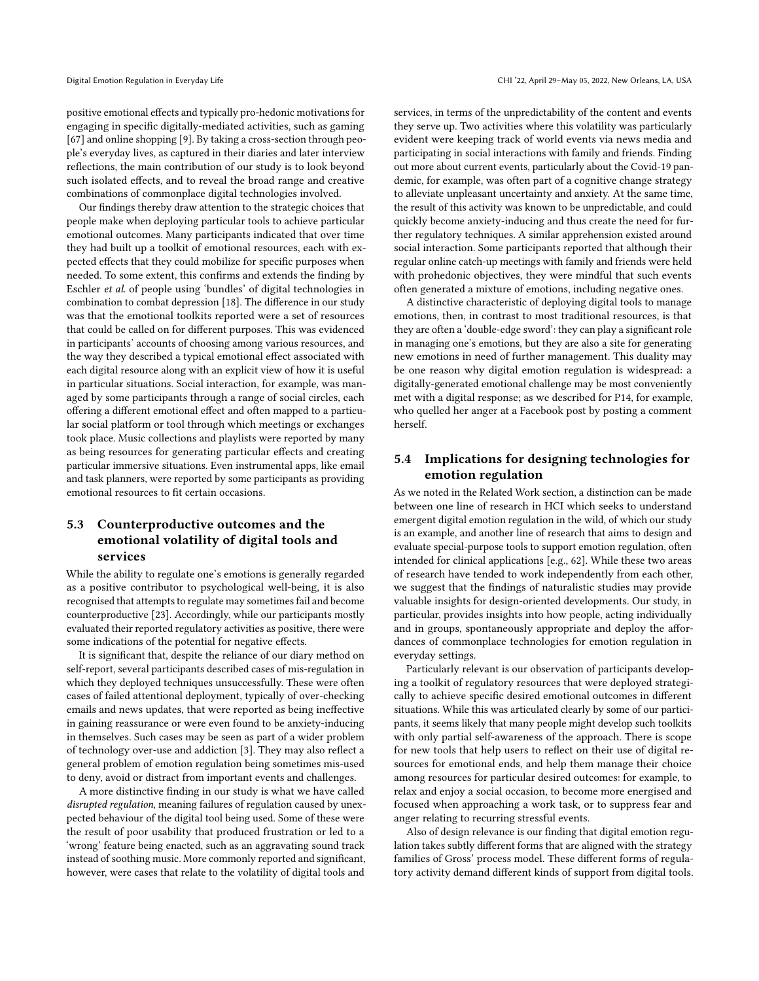positive emotional effects and typically pro-hedonic motivations for engaging in specific digitally-mediated activities, such as gaming [\[67\]](#page-13-6) and online shopping [\[9\]](#page-12-5). By taking a cross-section through people's everyday lives, as captured in their diaries and later interview reflections, the main contribution of our study is to look beyond such isolated effects, and to reveal the broad range and creative combinations of commonplace digital technologies involved.

Our findings thereby draw attention to the strategic choices that people make when deploying particular tools to achieve particular emotional outcomes. Many participants indicated that over time they had built up a toolkit of emotional resources, each with expected effects that they could mobilize for specific purposes when needed. To some extent, this confirms and extends the finding by Eschler et al. of people using 'bundles' of digital technologies in combination to combat depression [\[18\]](#page-12-24). The difference in our study was that the emotional toolkits reported were a set of resources that could be called on for different purposes. This was evidenced in participants' accounts of choosing among various resources, and the way they described a typical emotional effect associated with each digital resource along with an explicit view of how it is useful in particular situations. Social interaction, for example, was managed by some participants through a range of social circles, each offering a different emotional effect and often mapped to a particular social platform or tool through which meetings or exchanges took place. Music collections and playlists were reported by many as being resources for generating particular effects and creating particular immersive situations. Even instrumental apps, like email and task planners, were reported by some participants as providing emotional resources to fit certain occasions.

# 5.3 Counterproductive outcomes and the emotional volatility of digital tools and services

While the ability to regulate one's emotions is generally regarded as a positive contributor to psychological well-being, it is also recognised that attempts to regulate may sometimes fail and become counterproductive [\[23\]](#page-12-32). Accordingly, while our participants mostly evaluated their reported regulatory activities as positive, there were some indications of the potential for negative effects.

It is significant that, despite the reliance of our diary method on self-report, several participants described cases of mis-regulation in which they deployed techniques unsuccessfully. These were often cases of failed attentional deployment, typically of over-checking emails and news updates, that were reported as being ineffective in gaining reassurance or were even found to be anxiety-inducing in themselves. Such cases may be seen as part of a wider problem of technology over-use and addiction [\[3\]](#page-12-33). They may also reflect a general problem of emotion regulation being sometimes mis-used to deny, avoid or distract from important events and challenges.

A more distinctive finding in our study is what we have called disrupted regulation, meaning failures of regulation caused by unexpected behaviour of the digital tool being used. Some of these were the result of poor usability that produced frustration or led to a 'wrong' feature being enacted, such as an aggravating sound track instead of soothing music. More commonly reported and significant, however, were cases that relate to the volatility of digital tools and

services, in terms of the unpredictability of the content and events they serve up. Two activities where this volatility was particularly evident were keeping track of world events via news media and participating in social interactions with family and friends. Finding out more about current events, particularly about the Covid-19 pandemic, for example, was often part of a cognitive change strategy to alleviate unpleasant uncertainty and anxiety. At the same time, the result of this activity was known to be unpredictable, and could quickly become anxiety-inducing and thus create the need for further regulatory techniques. A similar apprehension existed around social interaction. Some participants reported that although their regular online catch-up meetings with family and friends were held with prohedonic objectives, they were mindful that such events often generated a mixture of emotions, including negative ones.

A distinctive characteristic of deploying digital tools to manage emotions, then, in contrast to most traditional resources, is that they are often a 'double-edge sword': they can play a significant role in managing one's emotions, but they are also a site for generating new emotions in need of further management. This duality may be one reason why digital emotion regulation is widespread: a digitally-generated emotional challenge may be most conveniently met with a digital response; as we described for P14, for example, who quelled her anger at a Facebook post by posting a comment herself.

# 5.4 Implications for designing technologies for emotion regulation

As we noted in the Related Work section, a distinction can be made between one line of research in HCI which seeks to understand emergent digital emotion regulation in the wild, of which our study is an example, and another line of research that aims to design and evaluate special-purpose tools to support emotion regulation, often intended for clinical applications [e.g., 62]. While these two areas of research have tended to work independently from each other, we suggest that the findings of naturalistic studies may provide valuable insights for design-oriented developments. Our study, in particular, provides insights into how people, acting individually and in groups, spontaneously appropriate and deploy the affordances of commonplace technologies for emotion regulation in everyday settings.

Particularly relevant is our observation of participants developing a toolkit of regulatory resources that were deployed strategically to achieve specific desired emotional outcomes in different situations. While this was articulated clearly by some of our participants, it seems likely that many people might develop such toolkits with only partial self-awareness of the approach. There is scope for new tools that help users to reflect on their use of digital resources for emotional ends, and help them manage their choice among resources for particular desired outcomes: for example, to relax and enjoy a social occasion, to become more energised and focused when approaching a work task, or to suppress fear and anger relating to recurring stressful events.

Also of design relevance is our finding that digital emotion regulation takes subtly different forms that are aligned with the strategy families of Gross' process model. These different forms of regulatory activity demand different kinds of support from digital tools.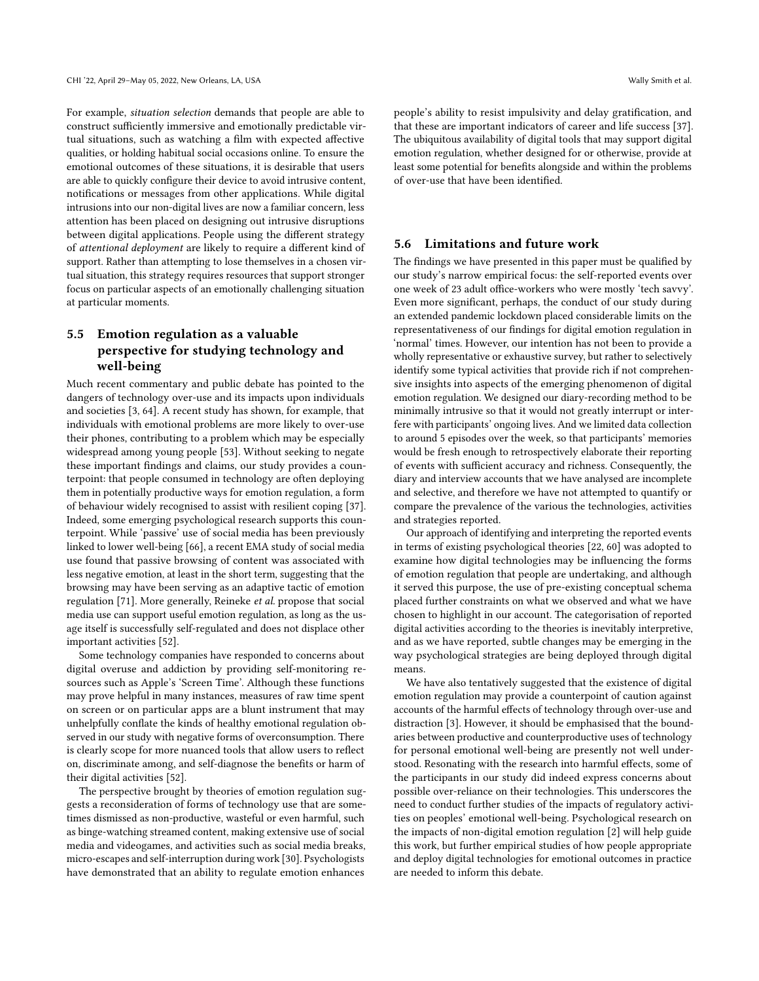For example, situation selection demands that people are able to construct sufficiently immersive and emotionally predictable virtual situations, such as watching a film with expected affective qualities, or holding habitual social occasions online. To ensure the emotional outcomes of these situations, it is desirable that users are able to quickly configure their device to avoid intrusive content, notifications or messages from other applications. While digital intrusions into our non-digital lives are now a familiar concern, less attention has been placed on designing out intrusive disruptions between digital applications. People using the different strategy of attentional deployment are likely to require a different kind of support. Rather than attempting to lose themselves in a chosen virtual situation, this strategy requires resources that support stronger focus on particular aspects of an emotionally challenging situation at particular moments.

# 5.5 Emotion regulation as a valuable perspective for studying technology and well-being

Much recent commentary and public debate has pointed to the dangers of technology over-use and its impacts upon individuals and societies [\[3,](#page-12-33) [64\]](#page-13-32). A recent study has shown, for example, that individuals with emotional problems are more likely to over-use their phones, contributing to a problem which may be especially widespread among young people [\[53\]](#page-13-5). Without seeking to negate these important findings and claims, our study provides a counterpoint: that people consumed in technology are often deploying them in potentially productive ways for emotion regulation, a form of behaviour widely recognised to assist with resilient coping [\[37\]](#page-13-33). Indeed, some emerging psychological research supports this counterpoint. While 'passive' use of social media has been previously linked to lower well-being [\[66\]](#page-13-34), a recent EMA study of social media use found that passive browsing of content was associated with less negative emotion, at least in the short term, suggesting that the browsing may have been serving as an adaptive tactic of emotion regulation [\[71\]](#page-13-35). More generally, Reineke et al. propose that social media use can support useful emotion regulation, as long as the usage itself is successfully self-regulated and does not displace other important activities [\[52\]](#page-13-36).

Some technology companies have responded to concerns about digital overuse and addiction by providing self-monitoring resources such as Apple's 'Screen Time'. Although these functions may prove helpful in many instances, measures of raw time spent on screen or on particular apps are a blunt instrument that may unhelpfully conflate the kinds of healthy emotional regulation observed in our study with negative forms of overconsumption. There is clearly scope for more nuanced tools that allow users to reflect on, discriminate among, and self-diagnose the benefits or harm of their digital activities [\[52\]](#page-13-36).

The perspective brought by theories of emotion regulation suggests a reconsideration of forms of technology use that are sometimes dismissed as non-productive, wasteful or even harmful, such as binge-watching streamed content, making extensive use of social media and videogames, and activities such as social media breaks, micro-escapes and self-interruption during work [\[30\]](#page-12-26). Psychologists have demonstrated that an ability to regulate emotion enhances

people's ability to resist impulsivity and delay gratification, and that these are important indicators of career and life success [\[37\]](#page-13-33). The ubiquitous availability of digital tools that may support digital emotion regulation, whether designed for or otherwise, provide at least some potential for benefits alongside and within the problems of over-use that have been identified.

### 5.6 Limitations and future work

The findings we have presented in this paper must be qualified by our study's narrow empirical focus: the self-reported events over one week of 23 adult office-workers who were mostly 'tech savvy'. Even more significant, perhaps, the conduct of our study during an extended pandemic lockdown placed considerable limits on the representativeness of our findings for digital emotion regulation in 'normal' times. However, our intention has not been to provide a wholly representative or exhaustive survey, but rather to selectively identify some typical activities that provide rich if not comprehensive insights into aspects of the emerging phenomenon of digital emotion regulation. We designed our diary-recording method to be minimally intrusive so that it would not greatly interrupt or interfere with participants' ongoing lives. And we limited data collection to around 5 episodes over the week, so that participants' memories would be fresh enough to retrospectively elaborate their reporting of events with sufficient accuracy and richness. Consequently, the diary and interview accounts that we have analysed are incomplete and selective, and therefore we have not attempted to quantify or compare the prevalence of the various the technologies, activities and strategies reported.

Our approach of identifying and interpreting the reported events in terms of existing psychological theories [\[22,](#page-12-3) [60\]](#page-13-3) was adopted to examine how digital technologies may be influencing the forms of emotion regulation that people are undertaking, and although it served this purpose, the use of pre-existing conceptual schema placed further constraints on what we observed and what we have chosen to highlight in our account. The categorisation of reported digital activities according to the theories is inevitably interpretive, and as we have reported, subtle changes may be emerging in the way psychological strategies are being deployed through digital means.

We have also tentatively suggested that the existence of digital emotion regulation may provide a counterpoint of caution against accounts of the harmful effects of technology through over-use and distraction [\[3\]](#page-12-33). However, it should be emphasised that the boundaries between productive and counterproductive uses of technology for personal emotional well-being are presently not well understood. Resonating with the research into harmful effects, some of the participants in our study did indeed express concerns about possible over-reliance on their technologies. This underscores the need to conduct further studies of the impacts of regulatory activities on peoples' emotional well-being. Psychological research on the impacts of non-digital emotion regulation [\[2\]](#page-12-17) will help guide this work, but further empirical studies of how people appropriate and deploy digital technologies for emotional outcomes in practice are needed to inform this debate.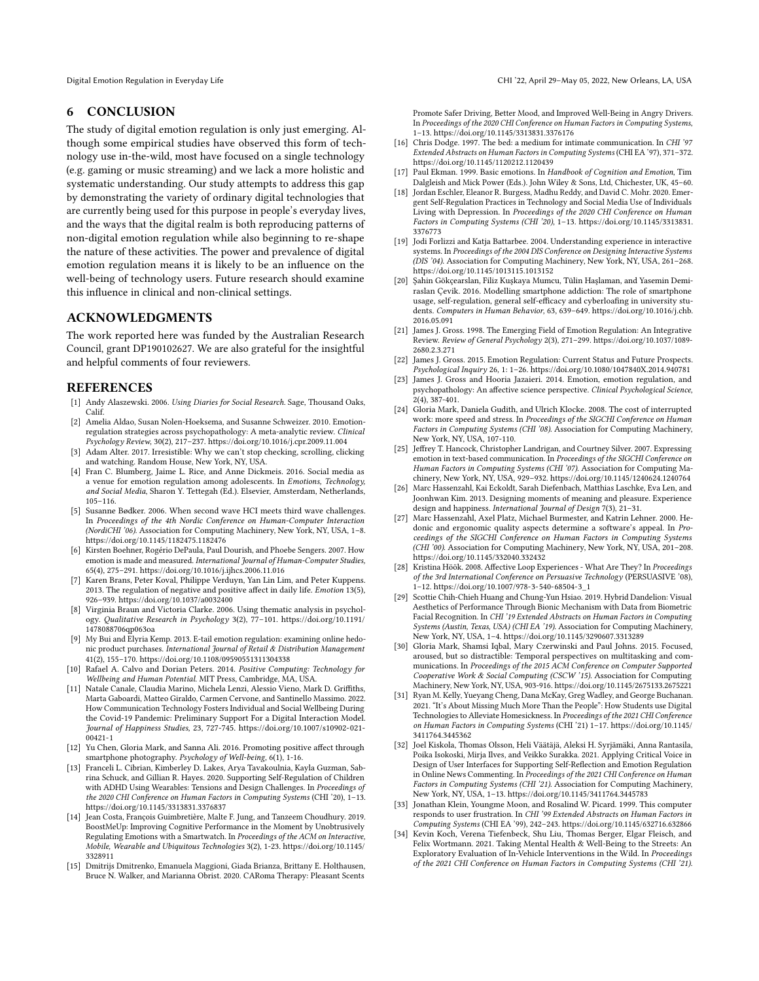### 6 CONCLUSION

The study of digital emotion regulation is only just emerging. Although some empirical studies have observed this form of technology use in-the-wild, most have focused on a single technology (e.g. gaming or music streaming) and we lack a more holistic and systematic understanding. Our study attempts to address this gap by demonstrating the variety of ordinary digital technologies that are currently being used for this purpose in people's everyday lives, and the ways that the digital realm is both reproducing patterns of non-digital emotion regulation while also beginning to re-shape the nature of these activities. The power and prevalence of digital emotion regulation means it is likely to be an influence on the well-being of technology users. Future research should examine this influence in clinical and non-clinical settings.

### ACKNOWLEDGMENTS

The work reported here was funded by the Australian Research Council, grant DP190102627. We are also grateful for the insightful and helpful comments of four reviewers.

#### REFERENCES

- <span id="page-12-29"></span>[1] Andy Alaszewski. 2006. Using Diaries for Social Research. Sage, Thousand Oaks, Calif.
- <span id="page-12-17"></span>[2] Amelia Aldao, Susan Nolen-Hoeksema, and Susanne Schweizer. 2010. Emotionregulation strategies across psychopathology: A meta-analytic review. Clinical Psychology Review, 30(2), 217–237.<https://doi.org/10.1016/j.cpr.2009.11.004>
- <span id="page-12-33"></span>[3] Adam Alter. 2017. Irresistible: Why we can't stop checking, scrolling, clicking and watching. Random House, New York, NY, USA.
- <span id="page-12-4"></span>[4] Fran C. Blumberg, Jaime L. Rice, and Anne Dickmeis. 2016. Social media as a venue for emotion regulation among adolescents. In Emotions, Technology, and Social Media, Sharon Y. Tettegah (Ed.). Elsevier, Amsterdam, Netherlands, 105–116.
- <span id="page-12-1"></span>[5] Susanne Bødker. 2006. When second wave HCI meets third wave challenges. In Proceedings of the 4th Nordic Conference on Human-Computer Interaction (NordiCHI '06). Association for Computing Machinery, New York, NY, USA, 1–8. <https://doi.org/10.1145/1182475.1182476>
- <span id="page-12-8"></span>[6] Kirsten Boehner, Rogério DePaula, Paul Dourish, and Phoebe Sengers. 2007. How emotion is made and measured. International Journal of Human-Computer Studies, 65(4), 275–291.<https://doi.org/10.1016/j.ijhcs.2006.11.016>
- <span id="page-12-16"></span>[7] Karen Brans, Peter Koval, Philippe Verduyn, Yan Lin Lim, and Peter Kuppens. 2013. The regulation of negative and positive affect in daily life. Emotion 13(5), 926–939.<https://doi.org/10.1037/a0032400>
- <span id="page-12-30"></span>[8] Virginia Braun and Victoria Clarke. 2006. Using thematic analysis in psychology. Qualitative Research in Psychology 3(2), 77–101. [https://doi.org/10.1191/](https://doi.org/10.1191/1478088706qp063oa) [1478088706qp063oa](https://doi.org/10.1191/1478088706qp063oa)
- <span id="page-12-5"></span>[9] My Bui and Elyria Kemp. 2013. E-tail emotion regulation: examining online hedonic product purchases. International Journal of Retail & Distribution Management 41(2), 155–170.<https://doi.org/10.1108/09590551311304338>
- <span id="page-12-12"></span>[10] Rafael A. Calvo and Dorian Peters. 2014. Positive Computing: Technology for Wellbeing and Human Potential. MIT Press, Cambridge, MA, USA.
- <span id="page-12-28"></span>[11] Natale Canale, Claudia Marino, Michela Lenzi, Alessio Vieno, Mark D. Griffiths, Marta Gaboardi, Matteo Giraldo, Carmen Cervone, and Santinello Massimo. 2022. How Communication Technology Fosters Individual and Social Wellbeing During the Covid-19 Pandemic: Preliminary Support For a Digital Interaction Model. Journal of Happiness Studies, 23, 727-745. [https://doi.org/10.1007/s10902-021-](https://doi.org/10.1007/s10902-021-00421-1) [00421-1](https://doi.org/10.1007/s10902-021-00421-1)
- <span id="page-12-20"></span>[12] Yu Chen, Gloria Mark, and Sanna Ali. 2016. Promoting positive affect through smartphone photography. Psychology of Well-being, 6(1), 1-16.
- <span id="page-12-18"></span>[13] Franceli L. Cibrian, Kimberley D. Lakes, Arya Tavakoulnia, Kayla Guzman, Sabrina Schuck, and Gillian R. Hayes. 2020. Supporting Self-Regulation of Children with ADHD Using Wearables: Tensions and Design Challenges. In Proceedings of the 2020 CHI Conference on Human Factors in Computing Systems (CHI '20), 1–13. <https://doi.org/10.1145/3313831.3376837>
- <span id="page-12-23"></span>[14] Jean Costa, François Guimbretière, Malte F. Jung, and Tanzeem Choudhury. 2019. BoostMeUp: Improving Cognitive Performance in the Moment by Unobtrusively Regulating Emotions with a Smartwatch. In Proceedings of the ACM on Interactive, Mobile, Wearable and Ubiquitous Technologies 3(2), 1-23. [https://doi.org/10.1145/](https://doi.org/10.1145/3328911) [3328911](https://doi.org/10.1145/3328911)
- <span id="page-12-19"></span>[15] Dmitrijs Dmitrenko, Emanuela Maggioni, Giada Brianza, Brittany E. Holthausen, Bruce N. Walker, and Marianna Obrist. 2020. CARoma Therapy: Pleasant Scents

Promote Safer Driving, Better Mood, and Improved Well-Being in Angry Drivers. In Proceedings of the 2020 CHI Conference on Human Factors in Computing Systems, 1–13.<https://doi.org/10.1145/3313831.3376176>

- <span id="page-12-7"></span>[16] Chris Dodge. 1997. The bed: a medium for intimate communication. In CHI '97 Extended Abstracts on Human Factors in Computing Systems (CHI EA '97), 371–372. <https://doi.org/10.1145/1120212.1120439>
- <span id="page-12-31"></span>[17] Paul Ekman. 1999. Basic emotions. In Handbook of Cognition and Emotion, Tim Dalgleish and Mick Power (Eds.). John Wiley & Sons, Ltd, Chichester, UK, 45–60.
- <span id="page-12-24"></span>[18] Jordan Eschler, Eleanor R. Burgess, Madhu Reddy, and David C. Mohr. 2020. Emergent Self-Regulation Practices in Technology and Social Media Use of Individuals Living with Depression. In Proceedings of the 2020 CHI Conference on Human Factors in Computing Systems (CHI '20), 1–13. [https://doi.org/10.1145/3313831.](https://doi.org/10.1145/3313831.3376773) [3376773](https://doi.org/10.1145/3313831.3376773)
- <span id="page-12-0"></span>[19] Jodi Forlizzi and Katja Battarbee. 2004. Understanding experience in interactive systems. In Proceedings of the 2004 DIS Conference on Designing Interactive Systems (DIS '04). Association for Computing Machinery, New York, NY, USA, 261–268. <https://doi.org/10.1145/1013115.1013152>
- <span id="page-12-27"></span>[20] Şahin Gökçearslan, Filiz Kuşkaya Mumcu, Tülin Haşlaman, and Yasemin Demiraslan Çevik. 2016. Modelling smartphone addiction: The role of smartphone usage, self-regulation, general self-efficacy and cyberloafing in university students. Computers in Human Behavior, 63, 639–649. [https://doi.org/10.1016/j.chb.](https://doi.org/10.1016/j.chb.2016.05.091) [2016.05.091](https://doi.org/10.1016/j.chb.2016.05.091)
- <span id="page-12-2"></span>[21] James J. Gross. 1998. The Emerging Field of Emotion Regulation: An Integrative Review. Review of General Psychology 2(3), 271–299. [https://doi.org/10.1037/1089-](https://doi.org/10.1037/1089-2680.2.3.271) [2680.2.3.271](https://doi.org/10.1037/1089-2680.2.3.271)
- <span id="page-12-3"></span>[22] James J. Gross. 2015. Emotion Regulation: Current Status and Future Prospects. Psychological Inquiry 26, 1: 1–26.<https://doi.org/10.1080/1047840X.2014.940781>
- <span id="page-12-32"></span>[23] James J. Gross and Hooria Jazaieri. 2014. Emotion, emotion regulation, and psychopathology: An affective science perspective. Clinical Psychological Science,  $2(4)$ , 387-401.
- <span id="page-12-13"></span>[24] Gloria Mark, Daniela Gudith, and Ulrich Klocke. 2008. The cost of interrupted work: more speed and stress. In Proceedings of the SIGCHI Conference on Human Factors in Computing Systems (CHI '08). Association for Computing Machinery, New York, NY, USA, 107-110.
- <span id="page-12-6"></span>[25] Jeffrey T. Hancock, Christopher Landrigan, and Courtney Silver. 2007. Expressing emotion in text-based communication. In Proceedings of the SIGCHI Conference on Human Factors in Computing Systems (CHI '07). Association for Computing Machinery, New York, NY, USA, 929–932.<https://doi.org/10.1145/1240624.1240764>
- <span id="page-12-15"></span>[26] Marc Hassenzahl, Kai Eckoldt, Sarah Diefenbach, Matthias Laschke, Eva Len, and Joonhwan Kim. 2013. Designing moments of meaning and pleasure. Experience design and happiness. International Journal of Design 7(3), 21–31.
- <span id="page-12-14"></span>[27] Marc Hassenzahl, Axel Platz, Michael Burmester, and Katrin Lehner. 2000. Hedonic and ergonomic quality aspects determine a software's appeal. In Proceedings of the SIGCHI Conference on Human Factors in Computing Systems (CHI '00). Association for Computing Machinery, New York, NY, USA, 201–208. <https://doi.org/10.1145/332040.332432>
- <span id="page-12-9"></span>[28] Kristina Höök. 2008. Affective Loop Experiences - What Are They? In Proceedings of the 3rd International Conference on Persuasive Technology (PERSUASIVE '08), 1–12. [https://doi.org/10.1007/978-3-540-68504-3\\_1](https://doi.org/10.1007/978-3-540-68504-3_1)
- <span id="page-12-11"></span>[29] Scottie Chih-Chieh Huang and Chung-Yun Hsiao. 2019. Hybrid Dandelion: Visual Aesthetics of Performance Through Bionic Mechanism with Data from Biometric Facial Recognition. In CHI '19 Extended Abstracts on Human Factors in Computing Systems (Austin, Texas, USA) (CHI EA '19). Association for Computing Machinery, New York, NY, USA, 1–4.<https://doi.org/10.1145/3290607.3313289>
- <span id="page-12-26"></span>[30] Gloria Mark, Shamsi Iqbal, Mary Czerwinski and Paul Johns. 2015. Focused, aroused, but so distractible: Temporal perspectives on multitasking and communications. In Proceedings of the 2015 ACM Conference on Computer Supported Cooperative Work & Social Computing (CSCW '15). Association for Computing Machinery, New York, NY, USA, 903-916[. https://doi.org/10.1145/2675133.2675221](https://doi.org/10.1145/2675133.2675221)
- <span id="page-12-25"></span>[31] Ryan M. Kelly, Yueyang Cheng, Dana McKay, Greg Wadley, and George Buchanan. 2021. "It's About Missing Much More Than the People": How Students use Digital Technologies to Alleviate Homesickness. In Proceedings of the 2021 CHI Conference on Human Factors in Computing Systems (CHI '21) 1–17. [https://doi.org/10.1145/](https://doi.org/10.1145/3411764.3445362) [3411764.3445362](https://doi.org/10.1145/3411764.3445362)
- <span id="page-12-21"></span>[32] Joel Kiskola, Thomas Olsson, Heli Väätäjä, Aleksi H. Syrjämäki, Anna Rantasila, Poika Isokoski, Mirja Ilves, and Veikko Surakka. 2021. Applying Critical Voice in Design of User Interfaces for Supporting Self-Reflection and Emotion Regulation in Online News Commenting. In Proceedings of the 2021 CHI Conference on Human Factors in Computing Systems (CHI '21). Association for Computing Machinery, New York, NY, USA, 1–13.<https://doi.org/10.1145/3411764.3445783>
- <span id="page-12-10"></span>[33] Jonathan Klein, Youngme Moon, and Rosalind W. Picard. 1999. This computer responds to user frustration. In CHI '99 Extended Abstracts on Human Factors in Computing Systems (CHI EA '99), 242–243.<https://doi.org/10.1145/632716.632866>
- <span id="page-12-22"></span>[34] Kevin Koch, Verena Tiefenbeck, Shu Liu, Thomas Berger, Elgar Fleisch, and Felix Wortmann. 2021. Taking Mental Health & Well-Being to the Streets: An Exploratory Evaluation of In-Vehicle Interventions in the Wild. In Proceedings of the 2021 CHI Conference on Human Factors in Computing Systems (CHI '21).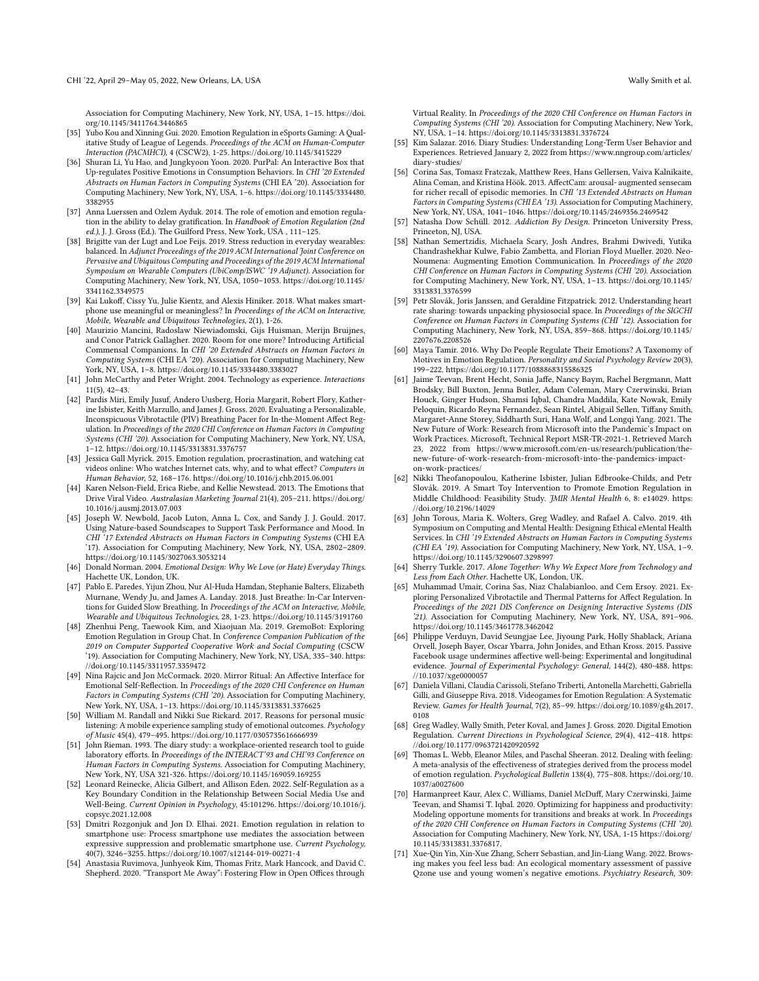Association for Computing Machinery, New York, NY, USA, 1–15. [https://doi.](https://doi.org/10.1145/3411764.3446865) [org/10.1145/3411764.3446865](https://doi.org/10.1145/3411764.3446865)

- <span id="page-13-25"></span>[35] Yubo Kou and Xinning Gui. 2020. Emotion Regulation in eSports Gaming: A Qualitative Study of League of Legends. Proceedings of the ACM on Human-Computer Interaction (PACMHCI), 4 (CSCW2), 1-25.<https://doi.org/10.1145/3415229>
- <span id="page-13-20"></span>[36] Shuran Li, Yu Hao, and Jungkyoon Yoon. 2020. PurPal: An Interactive Box that Up-regulates Positive Emotions in Consumption Behaviors. In CHI '20 Extended Abstracts on Human Factors in Computing Systems (CHI EA '20). Association for Computing Machinery, New York, NY, USA, 1–6. [https://doi.org/10.1145/3334480.](https://doi.org/10.1145/3334480.3382955) [3382955](https://doi.org/10.1145/3334480.3382955)
- <span id="page-13-33"></span>[37] Anna Luerssen and Ozlem Ayduk. 2014. The role of emotion and emotion regulation in the ability to delay gratification. In Handbook of Emotion Regulation (2nd ed.), J. J. Gross (Ed.). The Guilford Press, New York, USA, 111-125.
- <span id="page-13-23"></span>[38] Brigitte van der Lugt and Loe Feijs. 2019. Stress reduction in everyday wearables: balanced. In Adjunct Proceedings of the 2019 ACM International Joint Conference on Pervasive and Ubiquitous Computing and Proceedings of the 2019 ACM International Symposium on Wearable Computers (UbiComp/ISWC '19 Adjunct). Association for Computing Machinery, New York, NY, USA, 1050–1053. [https://doi.org/10.1145/](https://doi.org/10.1145/3341162.3349575) [3341162.3349575](https://doi.org/10.1145/3341162.3349575)
- <span id="page-13-24"></span>[39] Kai Lukoff, Cissy Yu, Julie Kientz, and Alexis Hiniker. 2018. What makes smartphone use meaningful or meaningless? In Proceedings of the ACM on Interactive, Mobile, Wearable and Ubiquitous Technologies, 2(1), 1-26.
- <span id="page-13-9"></span>[40] Maurizio Mancini, Radoslaw Niewiadomski, Gijs Huisman, Merijn Bruijnes, and Conor Patrick Gallagher. 2020. Room for one more? Introducing Artificial Commensal Companions. In CHI '20 Extended Abstracts on Human Factors in Computing Systems (CHI EA '20). Association for Computing Machinery, New York, NY, USA, 1–8.<https://doi.org/10.1145/3334480.3383027>
- <span id="page-13-0"></span>[41] John McCarthy and Peter Wright. 2004. Technology as experience. Interactions 11(5), 42–43.
- <span id="page-13-18"></span>[42] Pardis Miri, Emily Jusuf, Andero Uusberg, Horia Margarit, Robert Flory, Katherine Isbister, Keith Marzullo, and James J. Gross. 2020. Evaluating a Personalizable, Inconspicuous Vibrotactile (PIV) Breathing Pacer for In-the-Moment Affect Regulation. In Proceedings of the 2020 CHI Conference on Human Factors in Computing Systems (CHI '20). Association for Computing Machinery, New York, NY, USA, 1–12.<https://doi.org/10.1145/3313831.3376757>
- <span id="page-13-27"></span>[43] Jessica Gall Myrick. 2015. Emotion regulation, procrastination, and watching cat videos online: Who watches Internet cats, why, and to what effect? Computers in Human Behavior, 52, 168–176.<https://doi.org/10.1016/j.chb.2015.06.001>
- <span id="page-13-7"></span>[44] Karen Nelson-Field, Erica Riebe, and Kellie Newstead. 2013. The Emotions that Drive Viral Video. Australasian Marketing Journal 21(4), 205–211. [https://doi.org/](https://doi.org/10.1016/j.ausmj.2013.07.003) [10.1016/j.ausmj.2013.07.003](https://doi.org/10.1016/j.ausmj.2013.07.003)
- <span id="page-13-19"></span>[45] Joseph W. Newbold, Jacob Luton, Anna L. Cox, and Sandy J. J. Gould. 2017. Using Nature-based Soundscapes to Support Task Performance and Mood. In CHI '17 Extended Abstracts on Human Factors in Computing Systems (CHI EA '17). Association for Computing Machinery, New York, NY, USA, 2802–2809. <https://doi.org/10.1145/3027063.3053214>
- <span id="page-13-1"></span>[46] Donald Norman. 2004. Emotional Design: Why We Love (or Hate) Everyday Things. Hachette UK, London, UK.
- <span id="page-13-15"></span>[47] Pablo E. Paredes, Yijun Zhou, Nur Al-Huda Hamdan, Stephanie Balters, Elizabeth Murnane, Wendy Ju, and James A. Landay. 2018. Just Breathe: In-Car Interventions for Guided Slow Breathing. In Proceedings of the ACM on Interactive, Mobile, Wearable and Ubiquitous Technologies, 28, 1-23.<https://doi.org/10.1145/3191760>
- <span id="page-13-21"></span>[48] Zhenhui Peng, Taewook Kim, and Xiaojuan Ma. 2019. GremoBot: Exploring Emotion Regulation in Group Chat. In Conference Companion Publication of the 2019 on Computer Supported Cooperative Work and Social Computing (CSCW '19). Association for Computing Machinery, New York, NY, USA, 335–340. [https:](https://doi.org/10.1145/3311957.3359472) [//doi.org/10.1145/3311957.3359472](https://doi.org/10.1145/3311957.3359472)
- <span id="page-13-12"></span>[49] Nina Rajcic and Jon McCormack. 2020. Mirror Ritual: An Affective Interface for Emotional Self-Reflection. In Proceedings of the 2020 CHI Conference on Human Factors in Computing Systems (CHI '20). Association for Computing Machinery, New York, NY, USA, 1–13.<https://doi.org/10.1145/3313831.3376625>
- <span id="page-13-26"></span>[50] William M. Randall and Nikki Sue Rickard. 2017. Reasons for personal music listening: A mobile experience sampling study of emotional outcomes. Psychology of Music 45(4), 479–495.<https://doi.org/10.1177/0305735616666939>
- <span id="page-13-30"></span>[51] John Rieman. 1993. The diary study: a workplace-oriented research tool to guide laboratory efforts. In Proceedings of the INTERACT'93 and CHI'93 Conference on Human Factors in Computing Systems. Association for Computing Machinery, New York, NY, USA 321-326.<https://doi.org/10.1145/169059.169255>
- <span id="page-13-36"></span>[52] Leonard Reinecke, Alicia Gilbert, and Allison Eden. 2022. Self-Regulation as a Key Boundary Condition in the Relationship Between Social Media Use and Well-Being. Current Opinion in Psychology, 45:101296. [https://doi.org/10.1016/j.](https://doi.org/10.1016/j.copsyc.2021.12.008) [copsyc.2021.12.008](https://doi.org/10.1016/j.copsyc.2021.12.008)
- <span id="page-13-5"></span>[53] Dmitri Rozgonjuk and Jon D. Elhai. 2021. Emotion regulation in relation to smartphone use: Process smartphone use mediates the association between expressive suppression and problematic smartphone use. Current Psychology, 40(7), 3246–3255.<https://doi.org/10.1007/s12144-019-00271-4>
- <span id="page-13-17"></span>[54] Anastasia Ruvimova, Junhyeok Kim, Thomas Fritz, Mark Hancock, and David C. Shepherd. 2020. "Transport Me Away": Fostering Flow in Open Offices through

Virtual Reality. In Proceedings of the 2020 CHI Conference on Human Factors in Computing Systems (CHI '20). Association for Computing Machinery, New York, NY, USA, 1–14.<https://doi.org/10.1145/3313831.3376724>

- <span id="page-13-29"></span>[55] Kim Salazar. 2016. Diary Studies: Understanding Long-Term User Behavior and Experiences. Retrieved January 2, 2022 from [https://www.nngroup.com/articles/](https://www.nngroup.com/articles/diary-studies/) [diary-studies/](https://www.nngroup.com/articles/diary-studies/)
- <span id="page-13-10"></span>[56] Corina Sas, Tomasz Fratczak, Matthew Rees, Hans Gellersen, Vaiva Kalnikaite, Alina Coman, and Kristina Höök. 2013. AffectCam: arousal- augmented sensecam for richer recall of episodic memories. In CHI '13 Extended Abstracts on Human Factors in Computing Systems (CHI EA '13). Association for Computing Machinery, New York, NY, USA, 1041–1046.<https://doi.org/10.1145/2469356.2469542>
- <span id="page-13-28"></span>[57] Natasha Dow Schüll. 2012. Addiction By Design. Princeton University Press, Princeton, NJ, USA.
- <span id="page-13-16"></span>[58] Nathan Semertzidis, Michaela Scary, Josh Andres, Brahmi Dwivedi, Yutika Chandrashekhar Kulwe, Fabio Zambetta, and Florian Floyd Mueller. 2020. Neo-Noumena: Augmenting Emotion Communication. In Proceedings of the 2020 CHI Conference on Human Factors in Computing Systems (CHI '20). Association for Computing Machinery, New York, NY, USA, 1–13. [https://doi.org/10.1145/](https://doi.org/10.1145/3313831.3376599) [3313831.3376599](https://doi.org/10.1145/3313831.3376599)
- <span id="page-13-8"></span>[59] Petr Slovák, Joris Janssen, and Geraldine Fitzpatrick. 2012. Understanding heart rate sharing: towards unpacking physiosocial space. In Proceedings of the SIGCHI Conference on Human Factors in Computing Systems (CHI '12). Association for Computing Machinery, New York, NY, USA, 859–868. [https://doi.org/10.1145/](https://doi.org/10.1145/2207676.2208526) [2207676.2208526](https://doi.org/10.1145/2207676.2208526)
- <span id="page-13-3"></span>[60] Maya Tamir. 2016. Why Do People Regulate Their Emotions? A Taxonomy of Motives in Emotion Regulation. Personality and Social Psychology Review 20(3), 199–222.<https://doi.org/10.1177/1088868315586325>
- <span id="page-13-31"></span>[61] Jaime Teevan, Brent Hecht, Sonia Jaffe, Nancy Baym, Rachel Bergmann, Matt Brodsky, Bill Buxton, Jenna Butler, Adam Coleman, Mary Czerwinski, Brian Houck, Ginger Hudson, Shamsi Iqbal, Chandra Maddila, Kate Nowak, Emily Peloquin, Ricardo Reyna Fernandez, Sean Rintel, Abigail Sellen, Tiffany Smith, Margaret-Anne Storey, Siddharth Suri, Hana Wolf, and Longqi Yang. 2021. The New Future of Work: Research from Microsoft into the Pandemic's Impact on Work Practices. Microsoft, Technical Report MSR-TR-2021-1. Retrieved March 23, 2022 from [https://www.microsoft.com/en-us/research/publication/the](https://www.microsoft.com/en-us/research/publication/the-new-future-of-work-research-from-microsoft-into-the-pandemics-impact-on-work-practices/)[new-future-of-work-research-from-microsoft-into-the-pandemics-impact](https://www.microsoft.com/en-us/research/publication/the-new-future-of-work-research-from-microsoft-into-the-pandemics-impact-on-work-practices/)[on-work-practices/](https://www.microsoft.com/en-us/research/publication/the-new-future-of-work-research-from-microsoft-into-the-pandemics-impact-on-work-practices/)
- <span id="page-13-14"></span>[62] Nikki Theofanopoulou, Katherine Isbister, Julian Edbrooke-Childs, and Petr Slovák. 2019. A Smart Toy Intervention to Promote Emotion Regulation in Middle Childhood: Feasibility Study. JMIR Mental Health 6, 8: e14029. [https:](https://doi.org/10.2196/14029) [//doi.org/10.2196/14029](https://doi.org/10.2196/14029)
- <span id="page-13-11"></span>[63] John Torous, Maria K. Wolters, Greg Wadley, and Rafael A. Calvo. 2019. 4th Symposium on Computing and Mental Health: Designing Ethical eMental Health Services. In CHI '19 Extended Abstracts on Human Factors in Computing Systems (CHI EA '19). Association for Computing Machinery, New York, NY, USA, 1–9. <https://doi.org/10.1145/3290607.3298997>
- <span id="page-13-32"></span>[64] Sherry Turkle. 2017. Alone Together: Why We Expect More from Technology and Less from Each Other. Hachette UK, London, UK.
- <span id="page-13-22"></span>[65] Muhammad Umair, Corina Sas, Niaz Chalabianloo, and Cem Ersoy. 2021. Exploring Personalized Vibrotactile and Thermal Patterns for Affect Regulation. In Proceedings of the 2021 DIS Conference on Designing Interactive Systems (DIS '21). Association for Computing Machinery, New York, NY, USA, 891–906. <https://doi.org/10.1145/3461778.3462042>
- <span id="page-13-34"></span>[66] Philippe Verduyn, David Seungjae Lee, Jiyoung Park, Holly Shablack, Ariana Orvell, Joseph Bayer, Oscar Ybarra, John Jonides, and Ethan Kross. 2015. Passive Facebook usage undermines affective well-being: Experimental and longitudinal evidence. Journal of Experimental Psychology: General, 144(2), 480-488. [https:](https://10.1037/xge0000057) [//10.1037/xge0000057](https://10.1037/xge0000057)
- <span id="page-13-6"></span>[67] Daniela Villani, Claudia Carissoli, Stefano Triberti, Antonella Marchetti, Gabriella Gilli, and Giuseppe Riva. 2018. Videogames for Emotion Regulation: A Systematic Review. Games for Health Journal, 7(2), 85–99. [https://doi.org/10.1089/g4h.2017.](https://doi.org/10.1089/g4h.2017.0108) [0108](https://doi.org/10.1089/g4h.2017.0108)
- <span id="page-13-4"></span>[68] Greg Wadley, Wally Smith, Peter Koval, and James J. Gross. 2020. Digital Emotion Regulation. Current Directions in Psychological Science, 29(4), 412–418. [https:](https://doi.org/10.1177/0963721420920592) [//doi.org/10.1177/0963721420920592](https://doi.org/10.1177/0963721420920592)
- <span id="page-13-2"></span>[69] Thomas L. Webb, Eleanor Miles, and Paschal Sheeran. 2012. Dealing with feeling: A meta-analysis of the effectiveness of strategies derived from the process model of emotion regulation. Psychological Bulletin 138(4), 775–808. [https://doi.org/10.](https://doi.org/10.1037/a0027600) [1037/a0027600](https://doi.org/10.1037/a0027600)
- <span id="page-13-13"></span>[70] Harmanpreet Kaur, Alex C. Williams, Daniel McDuff, Mary Czerwinski, Jaime Teevan, and Shamsi T. Iqbal. 2020. Optimizing for happiness and productivity: Modeling opportune moments for transitions and breaks at work. In Proceedings of the 2020 CHI Conference on Human Factors in Computing Systems (CHI '20). Association for Computing Machinery, New York, NY, USA, 1-15 [https://doi.org/](https://doi.org/10.1145/3313831.3376817) [10.1145/3313831.3376817.](https://doi.org/10.1145/3313831.3376817)
- <span id="page-13-35"></span>[71] Xue-Qin Yin, Xin-Xue Zhang, Scherr Sebastian, and Jin-Liang Wang. 2022. Browsing makes you feel less bad: An ecological momentary assessment of passive Qzone use and young women's negative emotions. Psychiatry Research, 309: